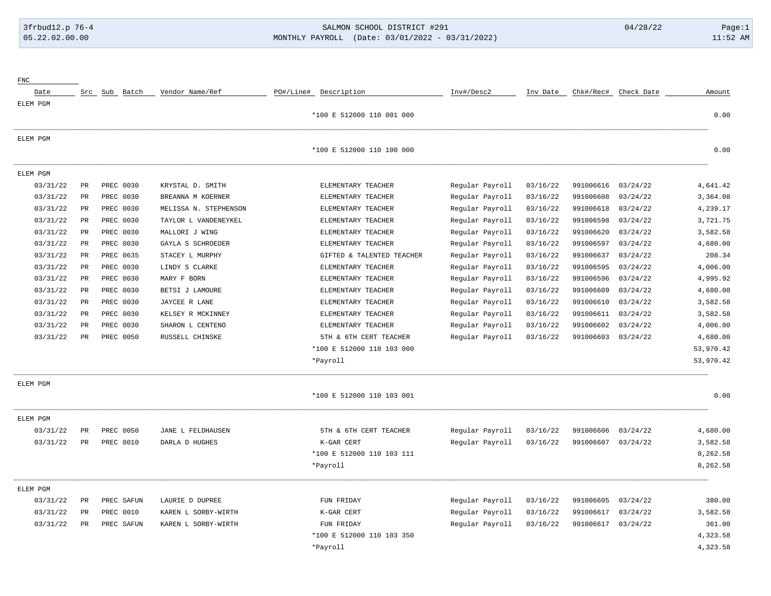# 3frbud12.p 76-4 SALMON SCHOOL DISTRICT #291 04/28/22 Page:1 05.22.02.00.00 MONTHLY PAYROLL (Date: 03/01/2022 - 03/31/2022) 11:52 AM

|           |            |           |          |                 |                           |                       |               |                 | ${\rm FNC}$ |
|-----------|------------|-----------|----------|-----------------|---------------------------|-----------------------|---------------|-----------------|-------------|
| Amount    | Check Date | Chk#/Rec# | Inv Date | Inv#/Desc2      | PO#/Line# Description     | Vendor Name/Ref       | Src Sub Batch |                 | Date        |
|           |            |           |          |                 |                           |                       |               |                 | ELEM PGM    |
| 0.00      |            |           |          |                 | *100 E 512000 110 001 000 |                       |               |                 |             |
|           |            |           |          |                 |                           |                       |               |                 | ELEM PGM    |
| 0.00      |            |           |          |                 | *100 E 512000 110 100 000 |                       |               |                 |             |
|           |            |           |          |                 |                           |                       |               |                 | ELEM PGM    |
| 4,641.42  | 03/24/22   | 991006616 | 03/16/22 | Regular Payroll | ELEMENTARY TEACHER        | KRYSTAL D. SMITH      | PREC 0030     | $\mbox{\sf PR}$ | 03/31/22    |
| 3,364.08  | 03/24/22   | 991006608 | 03/16/22 | Regular Payroll | ELEMENTARY TEACHER        | BREANNA M KOERNER     | PREC 0030     | $\mbox{\sf PR}$ | 03/31/22    |
| 4,239.17  | 03/24/22   | 991006618 | 03/16/22 | Regular Payroll | ELEMENTARY TEACHER        | MELISSA N. STEPHENSON | PREC 0030     | $\mbox{\sf PR}$ | 03/31/22    |
| 3,721.75  | 03/24/22   | 991006598 | 03/16/22 | Regular Payroll | ELEMENTARY TEACHER        | TAYLOR L VANDENEYKEL  | PREC 0030     | $\mbox{\sf PR}$ | 03/31/22    |
| 3,582.58  | 03/24/22   | 991006620 | 03/16/22 | Regular Payroll | ELEMENTARY TEACHER        | MALLORI J WING        | PREC 0030     | $\mbox{\sf PR}$ | 03/31/22    |
| 4,680.00  | 03/24/22   | 991006597 | 03/16/22 | Regular Payroll | ELEMENTARY TEACHER        | GAYLA S SCHROEDER     | PREC 0030     | $\mbox{\sf PR}$ | 03/31/22    |
| 208.34    | 03/24/22   | 991006637 | 03/16/22 | Regular Payroll | GIFTED & TALENTED TEACHER | STACEY L MURPHY       | PREC 0635     | <b>PR</b>       | 03/31/22    |
| 4,006.00  | 03/24/22   | 991006595 | 03/16/22 | Regular Payroll | ELEMENTARY TEACHER        | LINDY S CLARKE        | PREC 0030     | $\mbox{\sf PR}$ | 03/31/22    |
| 4,995.92  | 03/24/22   | 991006596 | 03/16/22 | Regular Payroll | ELEMENTARY TEACHER        | MARY F BORN           | PREC 0030     | $\mbox{\sf PR}$ | 03/31/22    |
| 4,680.00  | 03/24/22   | 991006609 | 03/16/22 | Regular Payroll | ELEMENTARY TEACHER        | BETSI J LAMOURE       | PREC 0030     | $\mbox{\sf PR}$ | 03/31/22    |
| 3,582.58  | 03/24/22   | 991006610 | 03/16/22 | Regular Payroll | ELEMENTARY TEACHER        | JAYCEE R LANE         | PREC 0030     | <b>PR</b>       | 03/31/22    |
| 3,582.58  | 03/24/22   | 991006611 | 03/16/22 | Regular Payroll | ELEMENTARY TEACHER        | KELSEY R MCKINNEY     | PREC 0030     | $\mbox{\sf PR}$ | 03/31/22    |
| 4,006.00  | 03/24/22   | 991006602 | 03/16/22 | Regular Payroll | ELEMENTARY TEACHER        | SHARON L CENTENO      | PREC 0030     | $_{\rm PR}$     | 03/31/22    |
| 4,680.00  | 03/24/22   | 991006603 | 03/16/22 | Regular Payroll | 5TH & 6TH CERT TEACHER    | RUSSELL CHINSKE       | PREC 0050     | <b>PR</b>       | 03/31/22    |
| 53,970.42 |            |           |          |                 | *100 E 512000 110 103 000 |                       |               |                 |             |
| 53,970.42 |            |           |          |                 | *Payroll                  |                       |               |                 |             |
|           |            |           |          |                 |                           |                       |               |                 | ELEM PGM    |
| 0.00      |            |           |          |                 | *100 E 512000 110 103 001 |                       |               |                 |             |
|           |            |           |          |                 |                           |                       |               |                 | ELEM PGM    |
| 4,680.00  | 03/24/22   | 991006606 | 03/16/22 | Regular Payroll | 5TH & 6TH CERT TEACHER    | JANE L FELDHAUSEN     | PREC 0050     | PR              | 03/31/22    |
| 3,582.58  | 03/24/22   | 991006607 | 03/16/22 | Regular Payroll | K-GAR CERT                | DARLA D HUGHES        | PREC 0010     | <b>PR</b>       | 03/31/22    |
| 8,262.58  |            |           |          |                 | *100 E 512000 110 103 111 |                       |               |                 |             |
| 8,262.58  |            |           |          |                 | *Payroll                  |                       |               |                 |             |
|           |            |           |          |                 |                           |                       |               |                 | ELEM PGM    |
| 380.00    | 03/24/22   | 991006605 | 03/16/22 | Regular Payroll | FUN FRIDAY                | LAURIE D DUPREE       | PREC SAFUN    | $_{\rm PR}$     | 03/31/22    |
| 3,582.58  | 03/24/22   | 991006617 | 03/16/22 | Regular Payroll | K-GAR CERT                | KAREN L SORBY-WIRTH   | PREC 0010     | $_{\rm PR}$     | 03/31/22    |
| 361.00    | 03/24/22   | 991006617 | 03/16/22 | Regular Payroll | FUN FRIDAY                | KAREN L SORBY-WIRTH   | PREC SAFUN    | $_{\rm PR}$     | 03/31/22    |
| 4,323.58  |            |           |          |                 | *100 E 512000 110 103 350 |                       |               |                 |             |
| 4,323.58  |            |           |          |                 | *Payroll                  |                       |               |                 |             |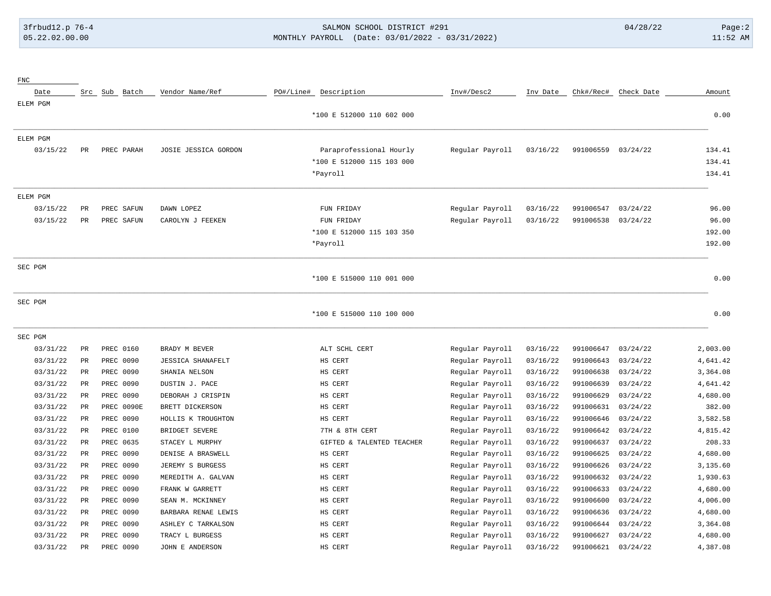FNC

# 3frbud12.p 76-4 SALMON SCHOOL DISTRICT #291 04/28/22 Page:2 05.22.02.00.00 MONTHLY PAYROLL (Date: 03/01/2022 - 03/31/2022) 11:52 AM

| Date<br>ELEM PGM |               | Src Sub Batch | Vendor Name/Ref          | PO#/Line#<br>Description  | Inv#/Desc2      | Inv Date | Chk#/Rec# | Check Date | Amount   |
|------------------|---------------|---------------|--------------------------|---------------------------|-----------------|----------|-----------|------------|----------|
|                  |               |               |                          | *100 E 512000 110 602 000 |                 |          |           |            | 0.00     |
| ELEM PGM         |               |               |                          |                           |                 |          |           |            |          |
| 03/15/22         | PR            | PREC PARAH    | JOSIE JESSICA GORDON     | Paraprofessional Hourly   | Regular Payroll | 03/16/22 | 991006559 | 03/24/22   | 134.41   |
|                  |               |               |                          | *100 E 512000 115 103 000 |                 |          |           |            | 134.41   |
|                  |               |               |                          | *Payroll                  |                 |          |           |            | 134.41   |
| ELEM PGM         |               |               |                          |                           |                 |          |           |            |          |
| 03/15/22         | PR            | PREC SAFUN    | DAWN LOPEZ               | FUN FRIDAY                | Regular Payroll | 03/16/22 | 991006547 | 03/24/22   | 96.00    |
| 03/15/22         | $_{\rm PR}$   | PREC SAFUN    | CAROLYN J FEEKEN         | FUN FRIDAY                | Regular Payroll | 03/16/22 | 991006538 | 03/24/22   | 96.00    |
|                  |               |               |                          | *100 E 512000 115 103 350 |                 |          |           |            | 192.00   |
|                  |               |               |                          | *Payroll                  |                 |          |           |            | 192.00   |
| SEC PGM          |               |               |                          |                           |                 |          |           |            |          |
|                  |               |               |                          | *100 E 515000 110 001 000 |                 |          |           |            | 0.00     |
| SEC PGM          |               |               |                          |                           |                 |          |           |            |          |
|                  |               |               |                          | *100 E 515000 110 100 000 |                 |          |           |            | 0.00     |
| SEC PGM          |               |               |                          |                           |                 |          |           |            |          |
| 03/31/22         | PR.           | PREC 0160     | BRADY M BEVER            | ALT SCHL CERT             | Regular Payroll | 03/16/22 | 991006647 | 03/24/22   | 2,003.00 |
| 03/31/22         | PR            | PREC 0090     | <b>JESSICA SHANAFELT</b> | HS CERT                   | Regular Payroll | 03/16/22 | 991006643 | 03/24/22   | 4,641.42 |
| 03/31/22         | PR            | PREC 0090     | SHANIA NELSON            | HS CERT                   | Regular Payroll | 03/16/22 | 991006638 | 03/24/22   | 3,364.08 |
| 03/31/22         | $_{\rm PR}$   | PREC 0090     | DUSTIN J. PACE           | HS CERT                   | Regular Payroll | 03/16/22 | 991006639 | 03/24/22   | 4,641.42 |
| 03/31/22         | PR            | PREC 0090     | DEBORAH J CRISPIN        | HS CERT                   | Regular Payroll | 03/16/22 | 991006629 | 03/24/22   | 4,680.00 |
| 03/31/22         | $_{\rm PR}$   | PREC 0090E    | BRETT DICKERSON          | HS CERT                   | Regular Payroll | 03/16/22 | 991006631 | 03/24/22   | 382.00   |
| 03/31/22         | $_{\rm PR}$   | PREC 0090     | HOLLIS K TROUGHTON       | HS CERT                   | Regular Payroll | 03/16/22 | 991006646 | 03/24/22   | 3,582.58 |
| 03/31/22         | $_{\rm PR}$   | PREC 0100     | BRIDGET SEVERE           | 7TH & 8TH CERT            | Regular Payroll | 03/16/22 | 991006642 | 03/24/22   | 4,815.42 |
| 03/31/22         | PR            | PREC 0635     | STACEY L MURPHY          | GIFTED & TALENTED TEACHER | Regular Payroll | 03/16/22 | 991006637 | 03/24/22   | 208.33   |
| 03/31/22         | $_{\rm PR}$   | PREC 0090     | DENISE A BRASWELL        | HS CERT                   | Regular Payroll | 03/16/22 | 991006625 | 03/24/22   | 4,680.00 |
| 03/31/22         | PR            | PREC 0090     | JEREMY S BURGESS         | HS CERT                   | Regular Payroll | 03/16/22 | 991006626 | 03/24/22   | 3,135.60 |
| 03/31/22         | PR            | PREC 0090     | MEREDITH A. GALVAN       | HS CERT                   | Regular Payroll | 03/16/22 | 991006632 | 03/24/22   | 1,930.63 |
| 03/31/22         | PR            | PREC 0090     | FRANK W GARRETT          | HS CERT                   | Regular Payroll | 03/16/22 | 991006633 | 03/24/22   | 4,680.00 |
| 03/31/22         | PR            | PREC 0090     | SEAN M. MCKINNEY         | HS CERT                   | Regular Payroll | 03/16/22 | 991006600 | 03/24/22   | 4,006.00 |
| 03/31/22         | $_{\rm PR}$   | PREC 0090     | BARBARA RENAE LEWIS      | HS CERT                   | Regular Payroll | 03/16/22 | 991006636 | 03/24/22   | 4,680.00 |
| 03/31/22         | $_{\rm PR}$   | PREC 0090     | ASHLEY C TARKALSON       | HS CERT                   | Regular Payroll | 03/16/22 | 991006644 | 03/24/22   | 3,364.08 |
| 03/31/22         | $\mathtt{PR}$ | PREC 0090     | TRACY L BURGESS          | HS CERT                   | Regular Payroll | 03/16/22 | 991006627 | 03/24/22   | 4,680.00 |
| 03/31/22         | $_{\rm PR}$   | PREC 0090     | JOHN E ANDERSON          | HS CERT                   | Regular Payroll | 03/16/22 | 991006621 | 03/24/22   | 4,387.08 |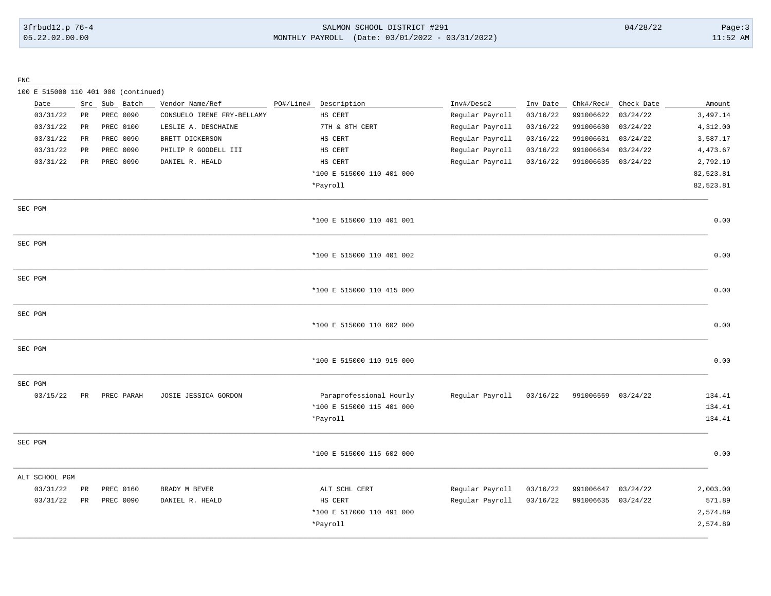### 3frbud12.p 76-4 SALMON SCHOOL DISTRICT #291 04/28/22 Page:3 05.22.02.00.00 MONTHLY PAYROLL (Date: 03/01/2022 - 03/31/2022) 11:52 AM

FNC

100 E 515000 110 401 000 (continued)

| Date           | Src         | Sub Batch  | Vendor Name/Ref            | PO#/Line# | Description               | Inv#/Desc2      | Inv Date | Chk#/Rec#          | Check Date | Amount    |
|----------------|-------------|------------|----------------------------|-----------|---------------------------|-----------------|----------|--------------------|------------|-----------|
| 03/31/22       | $_{\rm PR}$ | PREC 0090  | CONSUELO IRENE FRY-BELLAMY |           | HS CERT                   | Regular Payroll | 03/16/22 | 991006622          | 03/24/22   | 3,497.14  |
| 03/31/22       | $_{\rm PR}$ | PREC 0100  | LESLIE A. DESCHAINE        |           | 7TH & 8TH CERT            | Regular Payroll | 03/16/22 | 991006630          | 03/24/22   | 4,312.00  |
| 03/31/22       | PR          | PREC 0090  | BRETT DICKERSON            |           | HS CERT                   | Regular Payroll | 03/16/22 | 991006631          | 03/24/22   | 3,587.17  |
| 03/31/22       | PR          | PREC 0090  | PHILIP R GOODELL III       |           | HS CERT                   | Regular Payroll | 03/16/22 | 991006634          | 03/24/22   | 4,473.67  |
| 03/31/22       | PR          | PREC 0090  | DANIEL R. HEALD            |           | HS CERT                   | Regular Payroll | 03/16/22 | 991006635          | 03/24/22   | 2,792.19  |
|                |             |            |                            |           | *100 E 515000 110 401 000 |                 |          |                    |            | 82,523.81 |
|                |             |            |                            |           | *Payroll                  |                 |          |                    |            | 82,523.81 |
| SEC PGM        |             |            |                            |           |                           |                 |          |                    |            |           |
|                |             |            |                            |           | *100 E 515000 110 401 001 |                 |          |                    |            | 0.00      |
| SEC PGM        |             |            |                            |           |                           |                 |          |                    |            |           |
|                |             |            |                            |           | *100 E 515000 110 401 002 |                 |          |                    |            | 0.00      |
| SEC PGM        |             |            |                            |           |                           |                 |          |                    |            |           |
|                |             |            |                            |           | *100 E 515000 110 415 000 |                 |          |                    |            | 0.00      |
| SEC PGM        |             |            |                            |           |                           |                 |          |                    |            |           |
|                |             |            |                            |           | *100 E 515000 110 602 000 |                 |          |                    |            | 0.00      |
| SEC PGM        |             |            |                            |           |                           |                 |          |                    |            |           |
|                |             |            |                            |           | *100 E 515000 110 915 000 |                 |          |                    |            | 0.00      |
| SEC PGM        |             |            |                            |           |                           |                 |          |                    |            |           |
| 03/15/22       | PR          | PREC PARAH | JOSIE JESSICA GORDON       |           | Paraprofessional Hourly   | Regular Payroll | 03/16/22 | 991006559          | 03/24/22   | 134.41    |
|                |             |            |                            |           | *100 E 515000 115 401 000 |                 |          |                    |            | 134.41    |
|                |             |            |                            |           | *Payroll                  |                 |          |                    |            | 134.41    |
| SEC PGM        |             |            |                            |           |                           |                 |          |                    |            |           |
|                |             |            |                            |           | *100 E 515000 115 602 000 |                 |          |                    |            | 0.00      |
| ALT SCHOOL PGM |             |            |                            |           |                           |                 |          |                    |            |           |
| 03/31/22       | PR          | PREC 0160  | BRADY M BEVER              |           | ALT SCHL CERT             | Regular Payroll | 03/16/22 | 991006647          | 03/24/22   | 2,003.00  |
| 03/31/22       | PR          | PREC 0090  | DANIEL R. HEALD            |           | HS CERT                   | Regular Payroll | 03/16/22 | 991006635 03/24/22 |            | 571.89    |
|                |             |            |                            |           | *100 E 517000 110 491 000 |                 |          |                    |            | 2,574.89  |
|                |             |            |                            |           | *Payroll                  |                 |          |                    |            | 2,574.89  |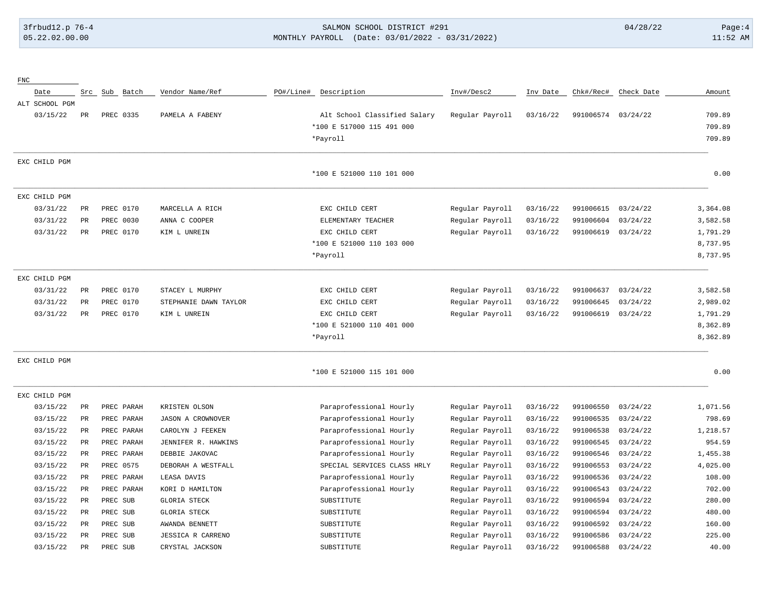### 3frbud12.p 76-4 SALMON SCHOOL DISTRICT #291 04/28/22 Page:4 05.22.02.00.00 MONTHLY PAYROLL (Date: 03/01/2022 - 03/31/2022) 11:52 AM

| ${\rm FNC}$    |             |            |                          |           |                              |                 |          |                    |            |          |
|----------------|-------------|------------|--------------------------|-----------|------------------------------|-----------------|----------|--------------------|------------|----------|
| Date           | Src         | Sub Batch  | Vendor Name/Ref          | PO#/Line# | Description                  | Inv#/Desc2      | Inv Date | Chk#/Rec#          | Check Date | Amount   |
| ALT SCHOOL PGM |             |            |                          |           |                              |                 |          |                    |            |          |
| 03/15/22       | $_{\rm PR}$ | PREC 0335  | PAMELA A FABENY          |           | Alt School Classified Salary | Regular Payroll | 03/16/22 | 991006574 03/24/22 |            | 709.89   |
|                |             |            |                          |           | *100 E 517000 115 491 000    |                 |          |                    |            | 709.89   |
|                |             |            |                          |           | *Payroll                     |                 |          |                    |            | 709.89   |
| EXC CHILD PGM  |             |            |                          |           |                              |                 |          |                    |            |          |
|                |             |            |                          |           | *100 E 521000 110 101 000    |                 |          |                    |            | 0.00     |
| EXC CHILD PGM  |             |            |                          |           |                              |                 |          |                    |            |          |
| 03/31/22       | PR          | PREC 0170  | MARCELLA A RICH          |           | EXC CHILD CERT               | Regular Payroll | 03/16/22 | 991006615          | 03/24/22   | 3,364.08 |
| 03/31/22       | PR          | PREC 0030  | ANNA C COOPER            |           | ELEMENTARY TEACHER           | Regular Payroll | 03/16/22 | 991006604          | 03/24/22   | 3,582.58 |
| 03/31/22       | PR          | PREC 0170  | KIM L UNREIN             |           | EXC CHILD CERT               | Regular Payroll | 03/16/22 | 991006619          | 03/24/22   | 1,791.29 |
|                |             |            |                          |           | *100 E 521000 110 103 000    |                 |          |                    |            | 8,737.95 |
|                |             |            |                          |           | *Payroll                     |                 |          |                    |            | 8,737.95 |
| EXC CHILD PGM  |             |            |                          |           |                              |                 |          |                    |            |          |
| 03/31/22       | $_{\rm PR}$ | PREC 0170  | STACEY L MURPHY          |           | EXC CHILD CERT               | Regular Payroll | 03/16/22 | 991006637          | 03/24/22   | 3,582.58 |
| 03/31/22       | PR          | PREC 0170  | STEPHANIE DAWN TAYLOR    |           | EXC CHILD CERT               | Regular Payroll | 03/16/22 | 991006645          | 03/24/22   | 2,989.02 |
| 03/31/22       | PR          | PREC 0170  | KIM L UNREIN             |           | EXC CHILD CERT               | Regular Payroll | 03/16/22 | 991006619          | 03/24/22   | 1,791.29 |
|                |             |            |                          |           | *100 E 521000 110 401 000    |                 |          |                    |            | 8,362.89 |
|                |             |            |                          |           | *Payroll                     |                 |          |                    |            | 8,362.89 |
| EXC CHILD PGM  |             |            |                          |           |                              |                 |          |                    |            |          |
|                |             |            |                          |           | *100 E 521000 115 101 000    |                 |          |                    |            | 0.00     |
| EXC CHILD PGM  |             |            |                          |           |                              |                 |          |                    |            |          |
| 03/15/22       | PR          | PREC PARAH | KRISTEN OLSON            |           | Paraprofessional Hourly      | Regular Payroll | 03/16/22 | 991006550          | 03/24/22   | 1,071.56 |
| 03/15/22       | PR          | PREC PARAH | <b>JASON A CROWNOVER</b> |           | Paraprofessional Hourly      | Regular Payroll | 03/16/22 | 991006535          | 03/24/22   | 798.69   |
| 03/15/22       | $_{\rm PR}$ | PREC PARAH | CAROLYN J FEEKEN         |           | Paraprofessional Hourly      | Regular Payroll | 03/16/22 | 991006538          | 03/24/22   | 1,218.57 |
| 03/15/22       | PR          | PREC PARAH | JENNIFER R. HAWKINS      |           | Paraprofessional Hourly      | Regular Payroll | 03/16/22 | 991006545          | 03/24/22   | 954.59   |
| 03/15/22       | PR          | PREC PARAH | DEBBIE JAKOVAC           |           | Paraprofessional Hourly      | Regular Payroll | 03/16/22 | 991006546          | 03/24/22   | 1,455.38 |
| 03/15/22       | PR          | PREC 0575  | DEBORAH A WESTFALL       |           | SPECIAL SERVICES CLASS HRLY  | Regular Payroll | 03/16/22 | 991006553          | 03/24/22   | 4,025.00 |
| 03/15/22       | PR          | PREC PARAH | LEASA DAVIS              |           | Paraprofessional Hourly      | Regular Payroll | 03/16/22 | 991006536          | 03/24/22   | 108.00   |
| 03/15/22       | PR          | PREC PARAH | KORI D HAMILTON          |           | Paraprofessional Hourly      | Regular Payroll | 03/16/22 | 991006543          | 03/24/22   | 702.00   |
| 03/15/22       | PR          | PREC SUB   | <b>GLORIA STECK</b>      |           | SUBSTITUTE                   | Regular Payroll | 03/16/22 | 991006594          | 03/24/22   | 280.00   |
| 03/15/22       | PR          | PREC SUB   | <b>GLORIA STECK</b>      |           | SUBSTITUTE                   | Regular Payroll | 03/16/22 | 991006594          | 03/24/22   | 480.00   |
| 03/15/22       | PR          | PREC SUB   | AWANDA BENNETT           |           | SUBSTITUTE                   | Regular Payroll | 03/16/22 | 991006592          | 03/24/22   | 160.00   |
| 03/15/22       | PR          | PREC SUB   | JESSICA R CARRENO        |           | SUBSTITUTE                   | Regular Payroll | 03/16/22 | 991006586          | 03/24/22   | 225.00   |
| 03/15/22       | PR          | PREC SUB   | CRYSTAL JACKSON          |           | SUBSTITUTE                   | Regular Payroll | 03/16/22 | 991006588          | 03/24/22   | 40.00    |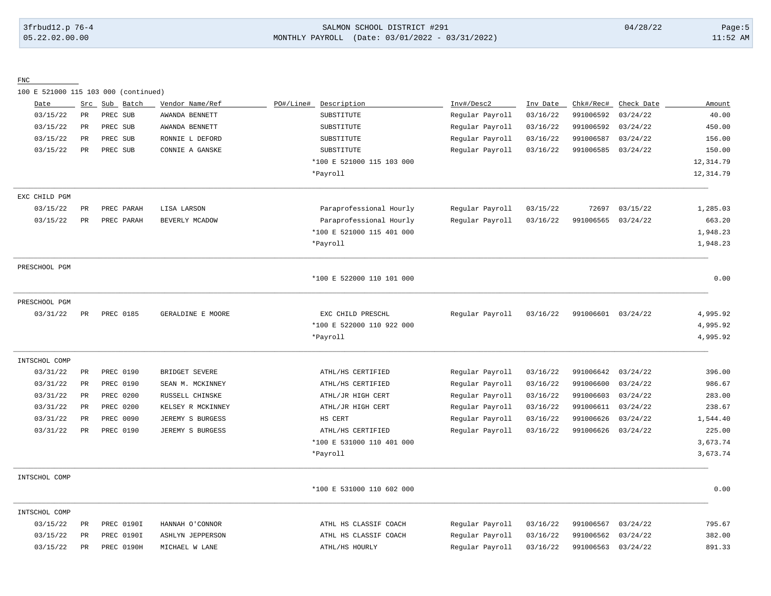# 3frbud12.p 76-4 SALMON SCHOOL DISTRICT #291 04/28/22 Page:5 05.22.02.00.00 MONTHLY PAYROLL (Date: 03/01/2022 - 03/31/2022) 11:52 AM

FNC

100 E 521000 115 103 000 (continued)

| Date          | Src         | Sub Batch  | Vendor Name/Ref         | PO#/Line# | Description               | Inv#/Desc2      | Inv Date | Chk#/Rec# | Check Date | Amount     |
|---------------|-------------|------------|-------------------------|-----------|---------------------------|-----------------|----------|-----------|------------|------------|
| 03/15/22      | <b>PR</b>   | PREC SUB   | AWANDA BENNETT          |           | SUBSTITUTE                | Regular Payroll | 03/16/22 | 991006592 | 03/24/22   | 40.00      |
| 03/15/22      | PR          | PREC SUB   | AWANDA BENNETT          |           | SUBSTITUTE                | Regular Payroll | 03/16/22 | 991006592 | 03/24/22   | 450.00     |
| 03/15/22      | PR          | PREC SUB   | RONNIE L DEFORD         |           | SUBSTITUTE                | Regular Payroll | 03/16/22 | 991006587 | 03/24/22   | 156.00     |
| 03/15/22      | PR          | PREC SUB   | CONNIE A GANSKE         |           | SUBSTITUTE                | Regular Payroll | 03/16/22 | 991006585 | 03/24/22   | 150.00     |
|               |             |            |                         |           | *100 E 521000 115 103 000 |                 |          |           |            | 12, 314.79 |
|               |             |            |                         |           | *Payroll                  |                 |          |           |            | 12, 314.79 |
| EXC CHILD PGM |             |            |                         |           |                           |                 |          |           |            |            |
| 03/15/22      | PR          | PREC PARAH | LISA LARSON             |           | Paraprofessional Hourly   | Regular Payroll | 03/15/22 | 72697     | 03/15/22   | 1,285.03   |
| 03/15/22      | PR          | PREC PARAH | BEVERLY MCADOW          |           | Paraprofessional Hourly   | Regular Payroll | 03/16/22 | 991006565 | 03/24/22   | 663.20     |
|               |             |            |                         |           | *100 E 521000 115 401 000 |                 |          |           |            | 1,948.23   |
|               |             |            |                         |           | *Payroll                  |                 |          |           |            | 1,948.23   |
| PRESCHOOL PGM |             |            |                         |           |                           |                 |          |           |            |            |
|               |             |            |                         |           | *100 E 522000 110 101 000 |                 |          |           |            | 0.00       |
| PRESCHOOL PGM |             |            |                         |           |                           |                 |          |           |            |            |
| 03/31/22      | PR          | PREC 0185  | GERALDINE E MOORE       |           | EXC CHILD PRESCHL         | Regular Payroll | 03/16/22 | 991006601 | 03/24/22   | 4,995.92   |
|               |             |            |                         |           | *100 E 522000 110 922 000 |                 |          |           |            | 4,995.92   |
|               |             |            |                         |           | *Payroll                  |                 |          |           |            | 4,995.92   |
| INTSCHOL COMP |             |            |                         |           |                           |                 |          |           |            |            |
| 03/31/22      | PR          | PREC 0190  | BRIDGET SEVERE          |           | ATHL/HS CERTIFIED         | Regular Payroll | 03/16/22 | 991006642 | 03/24/22   | 396.00     |
| 03/31/22      | PR          | PREC 0190  | SEAN M. MCKINNEY        |           | ATHL/HS CERTIFIED         | Regular Payroll | 03/16/22 | 991006600 | 03/24/22   | 986.67     |
| 03/31/22      | PR          | PREC 0200  | RUSSELL CHINSKE         |           | ATHL/JR HIGH CERT         | Regular Payroll | 03/16/22 | 991006603 | 03/24/22   | 283.00     |
| 03/31/22      | PR          | PREC 0200  | KELSEY R MCKINNEY       |           | ATHL/JR HIGH CERT         | Regular Payroll | 03/16/22 | 991006611 | 03/24/22   | 238.67     |
| 03/31/22      | PR          | PREC 0090  | JEREMY S BURGESS        |           | HS CERT                   | Regular Payroll | 03/16/22 | 991006626 | 03/24/22   | 1,544.40   |
| 03/31/22      | PR          | PREC 0190  | JEREMY S BURGESS        |           | ATHL/HS CERTIFIED         | Regular Payroll | 03/16/22 | 991006626 | 03/24/22   | 225.00     |
|               |             |            |                         |           | *100 E 531000 110 401 000 |                 |          |           |            | 3,673.74   |
|               |             |            |                         |           | *Payroll                  |                 |          |           |            | 3,673.74   |
| INTSCHOL COMP |             |            |                         |           |                           |                 |          |           |            |            |
|               |             |            |                         |           | *100 E 531000 110 602 000 |                 |          |           |            | 0.00       |
| INTSCHOL COMP |             |            |                         |           |                           |                 |          |           |            |            |
| 03/15/22      | $_{\rm PR}$ | PREC 0190I | HANNAH O'CONNOR         |           | ATHL HS CLASSIF COACH     | Regular Payroll | 03/16/22 | 991006567 | 03/24/22   | 795.67     |
| 03/15/22      | PR          | PREC 0190I | <b>ASHLYN JEPPERSON</b> |           | ATHL HS CLASSIF COACH     | Regular Payroll | 03/16/22 | 991006562 | 03/24/22   | 382.00     |
| 03/15/22      | PR          | PREC 0190H | MICHAEL W LANE          |           | ATHL/HS HOURLY            | Regular Payroll | 03/16/22 | 991006563 | 03/24/22   | 891.33     |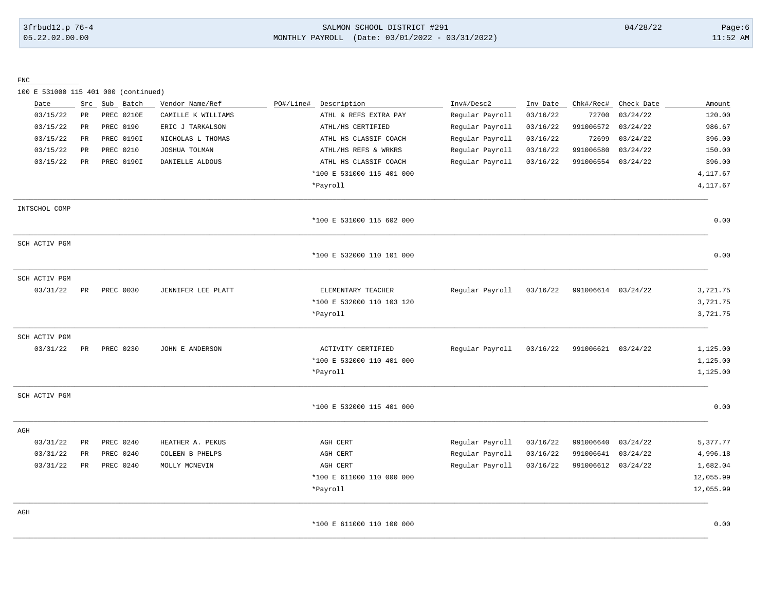### 3frbud12.p 76-4 SALMON SCHOOL DISTRICT #291 04/28/22 Page:6 05.22.02.00.00 MONTHLY PAYROLL (Date: 03/01/2022 - 03/31/2022) 11:52 AM

FNC

100 E 531000 115 401 000 (continued)

| Date          | Src         | Sub Batch  | Vendor Name/Ref    | PO#/Line# | Description               | Inv#/Desc2      | Inv Date | Chk#/Rec#          | Check Date | Amount    |
|---------------|-------------|------------|--------------------|-----------|---------------------------|-----------------|----------|--------------------|------------|-----------|
| 03/15/22      | $_{\rm PR}$ | PREC 0210E | CAMILLE K WILLIAMS |           | ATHL & REFS EXTRA PAY     | Regular Payroll | 03/16/22 | 72700              | 03/24/22   | 120.00    |
| 03/15/22      | PR          | PREC 0190  | ERIC J TARKALSON   |           | ATHL/HS CERTIFIED         | Regular Payroll | 03/16/22 | 991006572          | 03/24/22   | 986.67    |
| 03/15/22      | PR          | PREC 0190I | NICHOLAS L THOMAS  |           | ATHL HS CLASSIF COACH     | Regular Payroll | 03/16/22 | 72699              | 03/24/22   | 396.00    |
| 03/15/22      | PR          | PREC 0210  | JOSHUA TOLMAN      |           | ATHL/HS REFS & WRKRS      | Regular Payroll | 03/16/22 | 991006580          | 03/24/22   | 150.00    |
| 03/15/22      | PR          | PREC 0190I | DANIELLE ALDOUS    |           | ATHL HS CLASSIF COACH     | Regular Payroll | 03/16/22 | 991006554          | 03/24/22   | 396.00    |
|               |             |            |                    |           | *100 E 531000 115 401 000 |                 |          |                    |            | 4,117.67  |
|               |             |            |                    |           | *Payroll                  |                 |          |                    |            | 4, 117.67 |
| INTSCHOL COMP |             |            |                    |           |                           |                 |          |                    |            |           |
|               |             |            |                    |           | *100 E 531000 115 602 000 |                 |          |                    |            | 0.00      |
| SCH ACTIV PGM |             |            |                    |           |                           |                 |          |                    |            |           |
|               |             |            |                    |           | *100 E 532000 110 101 000 |                 |          |                    |            | 0.00      |
| SCH ACTIV PGM |             |            |                    |           |                           |                 |          |                    |            |           |
| 03/31/22      | PR          | PREC 0030  | JENNIFER LEE PLATT |           | ELEMENTARY TEACHER        | Regular Payroll | 03/16/22 | 991006614 03/24/22 |            | 3,721.75  |
|               |             |            |                    |           | *100 E 532000 110 103 120 |                 |          |                    |            | 3,721.75  |
|               |             |            |                    |           | *Payroll                  |                 |          |                    |            | 3,721.75  |
| SCH ACTIV PGM |             |            |                    |           |                           |                 |          |                    |            |           |
| 03/31/22      | PR          | PREC 0230  | JOHN E ANDERSON    |           | ACTIVITY CERTIFIED        | Regular Payroll | 03/16/22 | 991006621 03/24/22 |            | 1,125.00  |
|               |             |            |                    |           | *100 E 532000 110 401 000 |                 |          |                    |            | 1,125.00  |
|               |             |            |                    |           | *Payroll                  |                 |          |                    |            | 1,125.00  |
| SCH ACTIV PGM |             |            |                    |           |                           |                 |          |                    |            |           |
|               |             |            |                    |           | *100 E 532000 115 401 000 |                 |          |                    |            | 0.00      |
| AGH           |             |            |                    |           |                           |                 |          |                    |            |           |
| 03/31/22      | PR          | PREC 0240  | HEATHER A. PEKUS   |           | AGH CERT                  | Regular Payroll | 03/16/22 | 991006640          | 03/24/22   | 5,377.77  |
| 03/31/22      | PR          | PREC 0240  | COLEEN B PHELPS    |           | AGH CERT                  | Regular Payroll | 03/16/22 | 991006641          | 03/24/22   | 4,996.18  |
| 03/31/22      | PR          | PREC 0240  | MOLLY MCNEVIN      |           | AGH CERT                  | Regular Payroll | 03/16/22 | 991006612 03/24/22 |            | 1,682.04  |
|               |             |            |                    |           | *100 E 611000 110 000 000 |                 |          |                    |            | 12,055.99 |
|               |             |            |                    |           | *Payroll                  |                 |          |                    |            | 12,055.99 |
| AGH           |             |            |                    |           |                           |                 |          |                    |            |           |
|               |             |            |                    |           | *100 E 611000 110 100 000 |                 |          |                    |            | 0.00      |

\_\_\_\_\_\_\_\_\_\_\_\_\_\_\_\_\_\_\_\_\_\_\_\_\_\_\_\_\_\_\_\_\_\_\_\_\_\_\_\_\_\_\_\_\_\_\_\_\_\_\_\_\_\_\_\_\_\_\_\_\_\_\_\_\_\_\_\_\_\_\_\_\_\_\_\_\_\_\_\_\_\_\_\_\_\_\_\_\_\_\_\_\_\_\_\_\_\_\_\_\_\_\_\_\_\_\_\_\_\_\_\_\_\_\_\_\_\_\_\_\_\_\_\_\_\_\_\_\_\_\_\_\_\_\_\_\_\_\_\_\_\_\_\_\_\_\_\_\_\_\_\_\_\_\_\_\_\_\_\_\_\_\_\_\_\_\_\_\_\_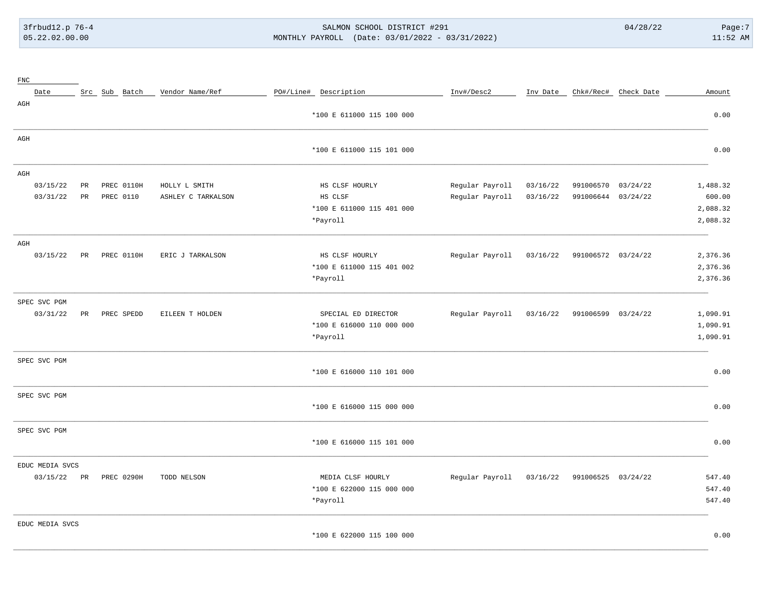# 3frbud12.p 76-4 SALMON SCHOOL DISTRICT #291 04/28/22 Page:7 05.22.02.00.00 MONTHLY PAYROLL (Date: 03/01/2022 - 03/31/2022) 11:52 AM

| ${\rm FNC}$     |    |               |                    |                           |                 |          |                               |          |          |
|-----------------|----|---------------|--------------------|---------------------------|-----------------|----------|-------------------------------|----------|----------|
| Date            |    | Src Sub Batch | Vendor Name/Ref    | PO#/Line# Description     | Inv#/Desc2      |          | Inv Date Chk#/Rec# Check Date |          | Amount   |
| AGH             |    |               |                    | *100 E 611000 115 100 000 |                 |          |                               |          | 0.00     |
| AGH             |    |               |                    |                           |                 |          |                               |          |          |
|                 |    |               |                    | *100 E 611000 115 101 000 |                 |          |                               |          | 0.00     |
| AGH             |    |               |                    |                           |                 |          |                               |          |          |
| 03/15/22        | PR | PREC 0110H    | HOLLY L SMITH      | HS CLSF HOURLY            | Regular Payroll | 03/16/22 | 991006570                     | 03/24/22 | 1,488.32 |
| 03/31/22        | PR | PREC 0110     | ASHLEY C TARKALSON | HS CLSF                   | Regular Payroll | 03/16/22 | 991006644                     | 03/24/22 | 600.00   |
|                 |    |               |                    | *100 E 611000 115 401 000 |                 |          |                               |          | 2,088.32 |
|                 |    |               |                    | *Payroll                  |                 |          |                               |          | 2,088.32 |
| AGH             |    |               |                    |                           |                 |          |                               |          |          |
| 03/15/22        | PR | PREC 0110H    | ERIC J TARKALSON   | HS CLSF HOURLY            | Regular Payroll | 03/16/22 | 991006572 03/24/22            |          | 2,376.36 |
|                 |    |               |                    | *100 E 611000 115 401 002 |                 |          |                               |          | 2,376.36 |
|                 |    |               |                    | *Payroll                  |                 |          |                               |          | 2,376.36 |
| SPEC SVC PGM    |    |               |                    |                           |                 |          |                               |          |          |
| 03/31/22        | PR | PREC SPEDD    | EILEEN T HOLDEN    | SPECIAL ED DIRECTOR       | Regular Payroll | 03/16/22 | 991006599 03/24/22            |          | 1,090.91 |
|                 |    |               |                    | *100 E 616000 110 000 000 |                 |          |                               |          | 1,090.91 |
|                 |    |               |                    | *Payroll                  |                 |          |                               |          | 1,090.91 |
| SPEC SVC PGM    |    |               |                    |                           |                 |          |                               |          |          |
|                 |    |               |                    | *100 E 616000 110 101 000 |                 |          |                               |          | 0.00     |
| SPEC SVC PGM    |    |               |                    |                           |                 |          |                               |          |          |
|                 |    |               |                    | *100 E 616000 115 000 000 |                 |          |                               |          | 0.00     |
| SPEC SVC PGM    |    |               |                    |                           |                 |          |                               |          |          |
|                 |    |               |                    | *100 E 616000 115 101 000 |                 |          |                               |          | 0.00     |
| EDUC MEDIA SVCS |    |               |                    |                           |                 |          |                               |          |          |
| 03/15/22        | PR | PREC 0290H    | TODD NELSON        | MEDIA CLSF HOURLY         | Regular Payroll | 03/16/22 | 991006525 03/24/22            |          | 547.40   |
|                 |    |               |                    | *100 E 622000 115 000 000 |                 |          |                               |          | 547.40   |
|                 |    |               |                    | *Payroll                  |                 |          |                               |          | 547.40   |
| EDUC MEDIA SVCS |    |               |                    |                           |                 |          |                               |          |          |
|                 |    |               |                    | *100 E 622000 115 100 000 |                 |          |                               |          | 0.00     |

\_\_\_\_\_\_\_\_\_\_\_\_\_\_\_\_\_\_\_\_\_\_\_\_\_\_\_\_\_\_\_\_\_\_\_\_\_\_\_\_\_\_\_\_\_\_\_\_\_\_\_\_\_\_\_\_\_\_\_\_\_\_\_\_\_\_\_\_\_\_\_\_\_\_\_\_\_\_\_\_\_\_\_\_\_\_\_\_\_\_\_\_\_\_\_\_\_\_\_\_\_\_\_\_\_\_\_\_\_\_\_\_\_\_\_\_\_\_\_\_\_\_\_\_\_\_\_\_\_\_\_\_\_\_\_\_\_\_\_\_\_\_\_\_\_\_\_\_\_\_\_\_\_\_\_\_\_\_\_\_\_\_\_\_\_\_\_\_\_\_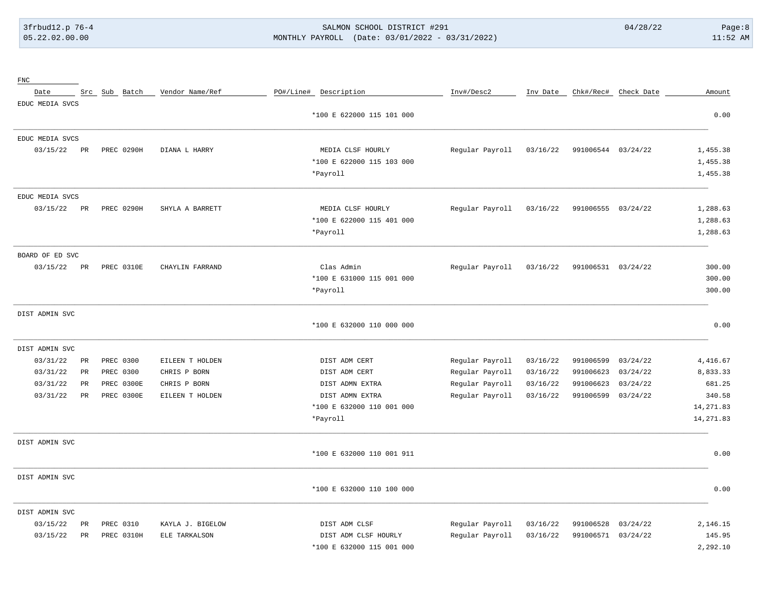# 3frbud12.p 76-4 SALMON SCHOOL DISTRICT #291 04/28/22 Page:8 05.22.02.00.00 MONTHLY PAYROLL (Date: 03/01/2022 - 03/31/2022) 11:52 AM

| ${\rm FNC}$     |                 |               |                  |                           |                 |          |                    |                      |            |
|-----------------|-----------------|---------------|------------------|---------------------------|-----------------|----------|--------------------|----------------------|------------|
| Date            |                 | Src Sub Batch | Vendor Name/Ref  | PO#/Line# Description     | Inv#/Desc2      | Inv Date |                    | Chk#/Rec# Check Date | Amount     |
| EDUC MEDIA SVCS |                 |               |                  |                           |                 |          |                    |                      |            |
|                 |                 |               |                  | *100 E 622000 115 101 000 |                 |          |                    |                      | 0.00       |
| EDUC MEDIA SVCS |                 |               |                  |                           |                 |          |                    |                      |            |
| 03/15/22        | PR              | PREC 0290H    | DIANA L HARRY    | MEDIA CLSF HOURLY         | Regular Payroll | 03/16/22 | 991006544 03/24/22 |                      | 1,455.38   |
|                 |                 |               |                  | *100 E 622000 115 103 000 |                 |          |                    |                      | 1,455.38   |
|                 |                 |               |                  | *Payroll                  |                 |          |                    |                      | 1,455.38   |
| EDUC MEDIA SVCS |                 |               |                  |                           |                 |          |                    |                      |            |
| 03/15/22        | PR              | PREC 0290H    | SHYLA A BARRETT  | MEDIA CLSF HOURLY         | Regular Payroll | 03/16/22 | 991006555          | 03/24/22             | 1,288.63   |
|                 |                 |               |                  | *100 E 622000 115 401 000 |                 |          |                    |                      | 1,288.63   |
|                 |                 |               |                  | *Payroll                  |                 |          |                    |                      | 1,288.63   |
| BOARD OF ED SVC |                 |               |                  |                           |                 |          |                    |                      |            |
| 03/15/22        | PR              | PREC 0310E    | CHAYLIN FARRAND  | Clas Admin                | Regular Payroll | 03/16/22 | 991006531 03/24/22 |                      | 300.00     |
|                 |                 |               |                  | *100 E 631000 115 001 000 |                 |          |                    |                      | 300.00     |
|                 |                 |               |                  | *Payroll                  |                 |          |                    |                      | 300.00     |
| DIST ADMIN SVC  |                 |               |                  |                           |                 |          |                    |                      |            |
|                 |                 |               |                  | *100 E 632000 110 000 000 |                 |          |                    |                      | 0.00       |
| DIST ADMIN SVC  |                 |               |                  |                           |                 |          |                    |                      |            |
| 03/31/22        | $_{\rm PR}$     | PREC 0300     | EILEEN T HOLDEN  | DIST ADM CERT             | Regular Payroll | 03/16/22 | 991006599          | 03/24/22             | 4,416.67   |
| 03/31/22        | $_{\rm PR}$     | PREC 0300     | CHRIS P BORN     | DIST ADM CERT             | Regular Payroll | 03/16/22 | 991006623          | 03/24/22             | 8,833.33   |
| 03/31/22        | $\mbox{\sf PR}$ | PREC 0300E    | CHRIS P BORN     | DIST ADMN EXTRA           | Regular Payroll | 03/16/22 | 991006623          | 03/24/22             | 681.25     |
| 03/31/22        | PR              | PREC 0300E    | EILEEN T HOLDEN  | DIST ADMN EXTRA           | Regular Payroll | 03/16/22 | 991006599          | 03/24/22             | 340.58     |
|                 |                 |               |                  | *100 E 632000 110 001 000 |                 |          |                    |                      | 14, 271.83 |
|                 |                 |               |                  | *Payroll                  |                 |          |                    |                      | 14, 271.83 |
| DIST ADMIN SVC  |                 |               |                  |                           |                 |          |                    |                      |            |
|                 |                 |               |                  | *100 E 632000 110 001 911 |                 |          |                    |                      | 0.00       |
| DIST ADMIN SVC  |                 |               |                  |                           |                 |          |                    |                      |            |
|                 |                 |               |                  | *100 E 632000 110 100 000 |                 |          |                    |                      | 0.00       |
| DIST ADMIN SVC  |                 |               |                  |                           |                 |          |                    |                      |            |
| 03/15/22        | PR              | PREC 0310     | KAYLA J. BIGELOW | DIST ADM CLSF             | Regular Payroll | 03/16/22 | 991006528          | 03/24/22             | 2,146.15   |
| 03/15/22        | PR              | PREC 0310H    | ELE TARKALSON    | DIST ADM CLSF HOURLY      | Regular Payroll | 03/16/22 | 991006571          | 03/24/22             | 145.95     |
|                 |                 |               |                  | *100 E 632000 115 001 000 |                 |          |                    |                      | 2,292.10   |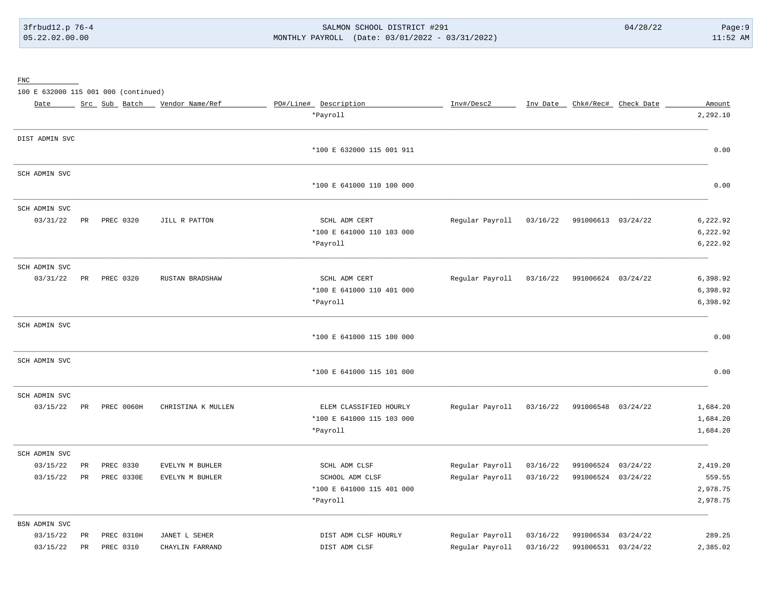# 3frbud12.p 76-4 SALMON SCHOOL DISTRICT #291 04/28/22 Page:9 05.22.02.00.00 MONTHLY PAYROLL (Date: 03/01/2022 - 03/31/2022) 11:52 AM

FNC

100 E 632000 115 001 000 (continued)

| Date           |                 | Src Sub Batch | Vendor Name/Ref    | PO#/Line# Description     | Inv#/Desc2      | Inv Date |                    | Chk#/Rec# Check Date | Amount   |
|----------------|-----------------|---------------|--------------------|---------------------------|-----------------|----------|--------------------|----------------------|----------|
|                |                 |               |                    | *Payroll                  |                 |          |                    |                      | 2,292.10 |
| DIST ADMIN SVC |                 |               |                    |                           |                 |          |                    |                      |          |
|                |                 |               |                    | *100 E 632000 115 001 911 |                 |          |                    |                      | 0.00     |
| SCH ADMIN SVC  |                 |               |                    |                           |                 |          |                    |                      |          |
|                |                 |               |                    | *100 E 641000 110 100 000 |                 |          |                    |                      | 0.00     |
| SCH ADMIN SVC  |                 |               |                    |                           |                 |          |                    |                      |          |
| 03/31/22       | PR              | PREC 0320     | JILL R PATTON      | SCHL ADM CERT             | Regular Payroll | 03/16/22 | 991006613 03/24/22 |                      | 6,222.92 |
|                |                 |               |                    | *100 E 641000 110 103 000 |                 |          |                    |                      | 6,222.92 |
|                |                 |               |                    | *Payroll                  |                 |          |                    |                      | 6,222.92 |
| SCH ADMIN SVC  |                 |               |                    |                           |                 |          |                    |                      |          |
| 03/31/22       | PR              | PREC 0320     | RUSTAN BRADSHAW    | SCHL ADM CERT             | Regular Payroll | 03/16/22 | 991006624 03/24/22 |                      | 6,398.92 |
|                |                 |               |                    | *100 E 641000 110 401 000 |                 |          |                    |                      | 6,398.92 |
|                |                 |               |                    | *Payroll                  |                 |          |                    |                      | 6,398.92 |
| SCH ADMIN SVC  |                 |               |                    |                           |                 |          |                    |                      |          |
|                |                 |               |                    | *100 E 641000 115 100 000 |                 |          |                    |                      | 0.00     |
| SCH ADMIN SVC  |                 |               |                    |                           |                 |          |                    |                      |          |
|                |                 |               |                    | *100 E 641000 115 101 000 |                 |          |                    |                      | 0.00     |
| SCH ADMIN SVC  |                 |               |                    |                           |                 |          |                    |                      |          |
| 03/15/22       | $\mbox{\sf PR}$ | PREC 0060H    | CHRISTINA K MULLEN | ELEM CLASSIFIED HOURLY    | Regular Payroll | 03/16/22 | 991006548          | 03/24/22             | 1,684.20 |
|                |                 |               |                    | *100 E 641000 115 103 000 |                 |          |                    |                      | 1,684.20 |
|                |                 |               |                    | *Payroll                  |                 |          |                    |                      | 1,684.20 |
| SCH ADMIN SVC  |                 |               |                    |                           |                 |          |                    |                      |          |
| 03/15/22       | PR              | PREC 0330     | EVELYN M BUHLER    | SCHL ADM CLSF             | Regular Payroll | 03/16/22 | 991006524          | 03/24/22             | 2,419.20 |
| 03/15/22       | $_{\rm PR}$     | PREC 0330E    | EVELYN M BUHLER    | SCHOOL ADM CLSF           | Regular Payroll | 03/16/22 | 991006524 03/24/22 |                      | 559.55   |
|                |                 |               |                    | *100 E 641000 115 401 000 |                 |          |                    |                      | 2,978.75 |
|                |                 |               |                    | *Payroll                  |                 |          |                    |                      | 2,978.75 |
| BSN ADMIN SVC  |                 |               |                    |                           |                 |          |                    |                      |          |
| 03/15/22       | PR              | PREC 0310H    | JANET L SEHER      | DIST ADM CLSF HOURLY      | Regular Payroll | 03/16/22 | 991006534          | 03/24/22             | 289.25   |
| 03/15/22       | PR              | PREC 0310     | CHAYLIN FARRAND    | DIST ADM CLSF             | Regular Payroll | 03/16/22 | 991006531          | 03/24/22             | 2,385.02 |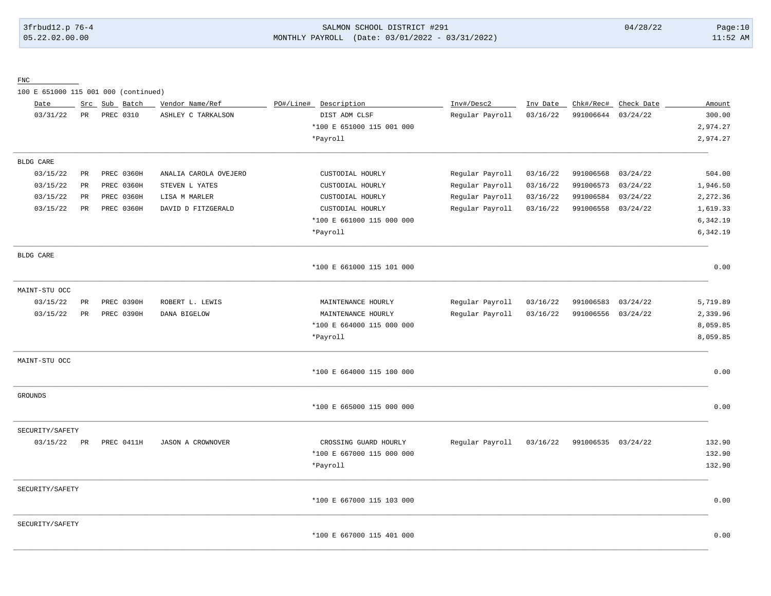# 3frbud12.p 76-4 SALMON SCHOOL DISTRICT #291 04/28/22 Page:10 05.22.02.00.00 MONTHLY PAYROLL (Date: 03/01/2022 - 03/31/2022) 11:52 AM

FNC

100 E 651000 115 001 000 (continued)

| Date            |             | Src Sub | Batch             | Vendor Name/Ref          | PO#/Line# | Description               | Inv#/Desc2      | Inv Date | Chk#/Rec# | Check Date | Amount   |
|-----------------|-------------|---------|-------------------|--------------------------|-----------|---------------------------|-----------------|----------|-----------|------------|----------|
| 03/31/22        | PR          |         | PREC 0310         | ASHLEY C TARKALSON       |           | DIST ADM CLSF             | Regular Payroll | 03/16/22 | 991006644 | 03/24/22   | 300.00   |
|                 |             |         |                   |                          |           | *100 E 651000 115 001 000 |                 |          |           |            | 2,974.27 |
|                 |             |         |                   |                          |           | *Payroll                  |                 |          |           |            | 2,974.27 |
| BLDG CARE       |             |         |                   |                          |           |                           |                 |          |           |            |          |
| 03/15/22        | PR          |         | <b>PREC 0360H</b> | ANALIA CAROLA OVEJERO    |           | CUSTODIAL HOURLY          | Regular Payroll | 03/16/22 | 991006568 | 03/24/22   | 504.00   |
| 03/15/22        | PR          |         | <b>PREC 0360H</b> | STEVEN L YATES           |           | CUSTODIAL HOURLY          | Regular Payroll | 03/16/22 | 991006573 | 03/24/22   | 1,946.50 |
| 03/15/22        | $_{\rm PR}$ |         | PREC 0360H        | LISA M MARLER            |           | CUSTODIAL HOURLY          | Regular Payroll | 03/16/22 | 991006584 | 03/24/22   | 2,272.36 |
| 03/15/22        | PR          |         | <b>PREC 0360H</b> | DAVID D FITZGERALD       |           | CUSTODIAL HOURLY          | Regular Payroll | 03/16/22 | 991006558 | 03/24/22   | 1,619.33 |
|                 |             |         |                   |                          |           | *100 E 661000 115 000 000 |                 |          |           |            | 6,342.19 |
|                 |             |         |                   |                          |           | *Payroll                  |                 |          |           |            | 6,342.19 |
| BLDG CARE       |             |         |                   |                          |           |                           |                 |          |           |            |          |
|                 |             |         |                   |                          |           | *100 E 661000 115 101 000 |                 |          |           |            | 0.00     |
| MAINT-STU OCC   |             |         |                   |                          |           |                           |                 |          |           |            |          |
| 03/15/22        | PR          |         | PREC 0390H        | ROBERT L. LEWIS          |           | MAINTENANCE HOURLY        | Regular Payroll | 03/16/22 | 991006583 | 03/24/22   | 5,719.89 |
| 03/15/22        | $_{\rm PR}$ |         | PREC 0390H        | DANA BIGELOW             |           | MAINTENANCE HOURLY        | Regular Payroll | 03/16/22 | 991006556 | 03/24/22   | 2,339.96 |
|                 |             |         |                   |                          |           | *100 E 664000 115 000 000 |                 |          |           |            | 8,059.85 |
|                 |             |         |                   |                          |           | *Payroll                  |                 |          |           |            | 8,059.85 |
| MAINT-STU OCC   |             |         |                   |                          |           |                           |                 |          |           |            |          |
|                 |             |         |                   |                          |           | *100 E 664000 115 100 000 |                 |          |           |            | 0.00     |
| <b>GROUNDS</b>  |             |         |                   |                          |           |                           |                 |          |           |            |          |
|                 |             |         |                   |                          |           | *100 E 665000 115 000 000 |                 |          |           |            | 0.00     |
| SECURITY/SAFETY |             |         |                   |                          |           |                           |                 |          |           |            |          |
| 03/15/22        | PR          |         | PREC 0411H        | <b>JASON A CROWNOVER</b> |           | CROSSING GUARD HOURLY     | Regular Payroll | 03/16/22 | 991006535 | 03/24/22   | 132.90   |
|                 |             |         |                   |                          |           | *100 E 667000 115 000 000 |                 |          |           |            | 132.90   |
|                 |             |         |                   |                          |           | *Payroll                  |                 |          |           |            | 132.90   |
| SECURITY/SAFETY |             |         |                   |                          |           |                           |                 |          |           |            |          |
|                 |             |         |                   |                          |           | *100 E 667000 115 103 000 |                 |          |           |            | 0.00     |
| SECURITY/SAFETY |             |         |                   |                          |           |                           |                 |          |           |            |          |
|                 |             |         |                   |                          |           | *100 E 667000 115 401 000 |                 |          |           |            | 0.00     |

\_\_\_\_\_\_\_\_\_\_\_\_\_\_\_\_\_\_\_\_\_\_\_\_\_\_\_\_\_\_\_\_\_\_\_\_\_\_\_\_\_\_\_\_\_\_\_\_\_\_\_\_\_\_\_\_\_\_\_\_\_\_\_\_\_\_\_\_\_\_\_\_\_\_\_\_\_\_\_\_\_\_\_\_\_\_\_\_\_\_\_\_\_\_\_\_\_\_\_\_\_\_\_\_\_\_\_\_\_\_\_\_\_\_\_\_\_\_\_\_\_\_\_\_\_\_\_\_\_\_\_\_\_\_\_\_\_\_\_\_\_\_\_\_\_\_\_\_\_\_\_\_\_\_\_\_\_\_\_\_\_\_\_\_\_\_\_\_\_\_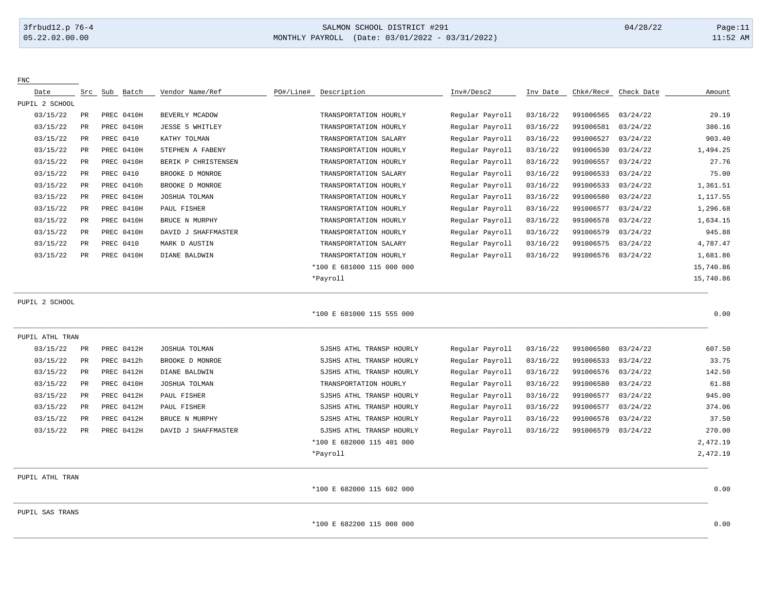# 3frbud12.p 76-4 SALMON SCHOOL DISTRICT #291 04/28/22 Page:11 05.22.02.00.00 MONTHLY PAYROLL (Date: 03/01/2022 - 03/31/2022) 11:52 AM

| ${\rm FNC}$     |                 |            |                        |                           |                 |          |           |            |           |
|-----------------|-----------------|------------|------------------------|---------------------------|-----------------|----------|-----------|------------|-----------|
| Date            | Src             | Sub Batch  | Vendor Name/Ref        | PO#/Line#<br>Description  | Inv#/Desc2      | Inv Date | Chk#/Rec# | Check Date | Amount    |
| PUPIL 2 SCHOOL  |                 |            |                        |                           |                 |          |           |            |           |
| 03/15/22        | $\mathtt{PR}$   | PREC 0410H | BEVERLY MCADOW         | TRANSPORTATION HOURLY     | Regular Payroll | 03/16/22 | 991006565 | 03/24/22   | 29.19     |
| 03/15/22        | PR              | PREC 0410H | <b>JESSE S WHITLEY</b> | TRANSPORTATION HOURLY     | Regular Payroll | 03/16/22 | 991006581 | 03/24/22   | 386.16    |
| 03/15/22        | PR              | PREC 0410  | KATHY TOLMAN           | TRANSPORTATION SALARY     | Regular Payroll | 03/16/22 | 991006527 | 03/24/22   | 903.40    |
| 03/15/22        | $\mbox{\sf PR}$ | PREC 0410H | STEPHEN A FABENY       | TRANSPORTATION HOURLY     | Regular Payroll | 03/16/22 | 991006530 | 03/24/22   | 1,494.25  |
| 03/15/22        | $_{\rm PR}$     | PREC 0410H | BERIK P CHRISTENSEN    | TRANSPORTATION HOURLY     | Regular Payroll | 03/16/22 | 991006557 | 03/24/22   | 27.76     |
| 03/15/22        | PR              | PREC 0410  | BROOKE D MONROE        | TRANSPORTATION SALARY     | Regular Payroll | 03/16/22 | 991006533 | 03/24/22   | 75.00     |
| 03/15/22        | PR              | PREC 0410h | BROOKE D MONROE        | TRANSPORTATION HOURLY     | Regular Payroll | 03/16/22 | 991006533 | 03/24/22   | 1,361.51  |
| 03/15/22        | <b>PR</b>       | PREC 0410H | JOSHUA TOLMAN          | TRANSPORTATION HOURLY     | Regular Payroll | 03/16/22 | 991006580 | 03/24/22   | 1,117.55  |
| 03/15/22        | PR              | PREC 0410H | PAUL FISHER            | TRANSPORTATION HOURLY     | Regular Payroll | 03/16/22 | 991006577 | 03/24/22   | 1,296.68  |
| 03/15/22        | PR              | PREC 0410H | BRUCE N MURPHY         | TRANSPORTATION HOURLY     | Regular Payroll | 03/16/22 | 991006578 | 03/24/22   | 1,634.15  |
| 03/15/22        | PR              | PREC 0410H | DAVID J SHAFFMASTER    | TRANSPORTATION HOURLY     | Regular Payroll | 03/16/22 | 991006579 | 03/24/22   | 945.88    |
| 03/15/22        | PR              | PREC 0410  | MARK D AUSTIN          | TRANSPORTATION SALARY     | Regular Payroll | 03/16/22 | 991006575 | 03/24/22   | 4,787.47  |
| 03/15/22        | $_{\rm PR}$     | PREC 0410H | DIANE BALDWIN          | TRANSPORTATION HOURLY     | Regular Payroll | 03/16/22 | 991006576 | 03/24/22   | 1,681.86  |
|                 |                 |            |                        | *100 E 681000 115 000 000 |                 |          |           |            | 15,740.86 |
|                 |                 |            |                        | *Payroll                  |                 |          |           |            | 15,740.86 |
| PUPIL 2 SCHOOL  |                 |            |                        |                           |                 |          |           |            |           |
|                 |                 |            |                        | *100 E 681000 115 555 000 |                 |          |           |            | 0.00      |
| PUPIL ATHL TRAN |                 |            |                        |                           |                 |          |           |            |           |
| 03/15/22        | PR              | PREC 0412H | JOSHUA TOLMAN          | SJSHS ATHL TRANSP HOURLY  | Regular Payroll | 03/16/22 | 991006580 | 03/24/22   | 607.50    |
| 03/15/22        | PR              | PREC 0412h | BROOKE D MONROE        | SJSHS ATHL TRANSP HOURLY  | Regular Payroll | 03/16/22 | 991006533 | 03/24/22   | 33.75     |
| 03/15/22        | <b>PR</b>       | PREC 0412H | DIANE BALDWIN          | SJSHS ATHL TRANSP HOURLY  | Regular Payroll | 03/16/22 | 991006576 | 03/24/22   | 142.50    |
| 03/15/22        | PR              | PREC 0410H | JOSHUA TOLMAN          | TRANSPORTATION HOURLY     | Regular Payroll | 03/16/22 | 991006580 | 03/24/22   | 61.88     |
| 03/15/22        | PR              | PREC 0412H | PAUL FISHER            | SJSHS ATHL TRANSP HOURLY  | Regular Payroll | 03/16/22 | 991006577 | 03/24/22   | 945.00    |
| 03/15/22        | PR              | PREC 0412H | PAUL FISHER            | SJSHS ATHL TRANSP HOURLY  | Regular Payroll | 03/16/22 | 991006577 | 03/24/22   | 374.06    |
| 03/15/22        | PR              | PREC 0412H | BRUCE N MURPHY         | SJSHS ATHL TRANSP HOURLY  | Regular Payroll | 03/16/22 | 991006578 | 03/24/22   | 37.50     |
| 03/15/22        | PR              | PREC 0412H | DAVID J SHAFFMASTER    | SJSHS ATHL TRANSP HOURLY  | Regular Payroll | 03/16/22 | 991006579 | 03/24/22   | 270.00    |
|                 |                 |            |                        | *100 E 682000 115 401 000 |                 |          |           |            | 2,472.19  |
|                 |                 |            |                        | *Payroll                  |                 |          |           |            | 2,472.19  |
| PUPIL ATHL TRAN |                 |            |                        |                           |                 |          |           |            |           |
|                 |                 |            |                        | *100 E 682000 115 602 000 |                 |          |           |            | 0.00      |
| PUPIL SAS TRANS |                 |            |                        |                           |                 |          |           |            |           |
|                 |                 |            |                        | *100 E 682200 115 000 000 |                 |          |           |            | 0.00      |
|                 |                 |            |                        |                           |                 |          |           |            |           |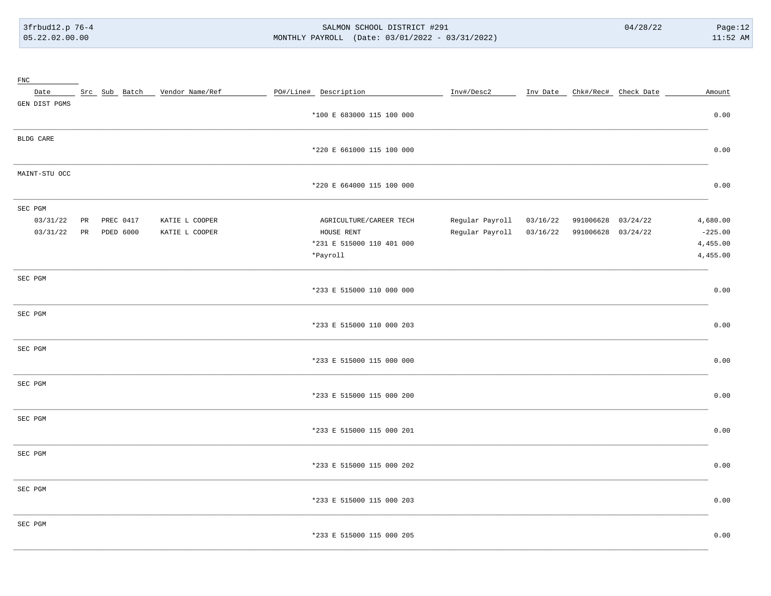#### SALMON SCHOOL DISTRICT #291 MONTHLY PAYROLL (Date: 03/01/2022 - 03/31/2022)

| FNC           |                          |                               |                           |                 |          |                               |           |
|---------------|--------------------------|-------------------------------|---------------------------|-----------------|----------|-------------------------------|-----------|
| Date          |                          | Src Sub Batch Vendor Name/Ref | PO#/Line# Description     | Inv#/Desc2      |          | Inv Date Chk#/Rec# Check Date | Amount    |
| GEN DIST PGMS |                          |                               |                           |                 |          |                               |           |
|               |                          |                               | *100 E 683000 115 100 000 |                 |          |                               | 0.00      |
| BLDG CARE     |                          |                               |                           |                 |          |                               |           |
|               |                          |                               | *220 E 661000 115 100 000 |                 |          |                               | 0.00      |
| MAINT-STU OCC |                          |                               |                           |                 |          |                               |           |
|               |                          |                               | *220 E 664000 115 100 000 |                 |          |                               | 0.00      |
| SEC PGM       |                          |                               |                           |                 |          |                               |           |
| 03/31/22      | $_{\rm PR}$<br>PREC 0417 | KATIE L COOPER                | AGRICULTURE/CAREER TECH   | Regular Payroll | 03/16/22 | 991006628 03/24/22            | 4,680.00  |
| 03/31/22      | PR<br>PDED 6000          | KATIE L COOPER                | HOUSE RENT                | Regular Payroll | 03/16/22 | 991006628 03/24/22            | $-225.00$ |
|               |                          |                               | *231 E 515000 110 401 000 |                 |          |                               | 4,455.00  |
|               |                          |                               | *Payroll                  |                 |          |                               | 4,455.00  |
| SEC PGM       |                          |                               |                           |                 |          |                               |           |
|               |                          |                               | *233 E 515000 110 000 000 |                 |          |                               | 0.00      |
| SEC PGM       |                          |                               |                           |                 |          |                               |           |
|               |                          |                               | *233 E 515000 110 000 203 |                 |          |                               | 0.00      |
| SEC PGM       |                          |                               |                           |                 |          |                               |           |
|               |                          |                               | *233 E 515000 115 000 000 |                 |          |                               | 0.00      |
| SEC PGM       |                          |                               |                           |                 |          |                               |           |
|               |                          |                               | *233 E 515000 115 000 200 |                 |          |                               | 0.00      |
| SEC PGM       |                          |                               |                           |                 |          |                               |           |
|               |                          |                               | *233 E 515000 115 000 201 |                 |          |                               | 0.00      |
| SEC PGM       |                          |                               |                           |                 |          |                               |           |
|               |                          |                               | *233 E 515000 115 000 202 |                 |          |                               | 0.00      |
| SEC PGM       |                          |                               |                           |                 |          |                               |           |
|               |                          |                               | *233 E 515000 115 000 203 |                 |          |                               | 0.00      |
| SEC PGM       |                          |                               |                           |                 |          |                               |           |
|               |                          |                               | *233 E 515000 115 000 205 |                 |          |                               | 0.00      |
|               |                          |                               |                           |                 |          |                               |           |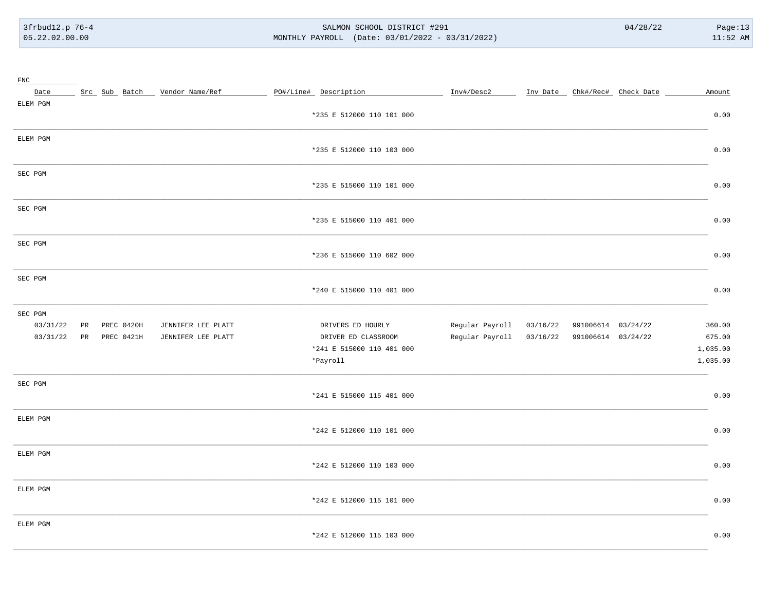#### SALMON SCHOOL DISTRICT #291 MONTHLY PAYROLL (Date: 03/01/2022 - 03/31/2022)

| FNC      |             |            |                                 |                           |                 |          |                    |                                   |          |
|----------|-------------|------------|---------------------------------|---------------------------|-----------------|----------|--------------------|-----------------------------------|----------|
| Date     |             |            | Src Sub Batch _ Vendor Name/Ref | PO#/Line# Description     | Inv#/Desc2      |          |                    | Inv Date _ Chk#/Rec# _ Check Date | Amount   |
| ELEM PGM |             |            |                                 |                           |                 |          |                    |                                   |          |
|          |             |            |                                 | *235 E 512000 110 101 000 |                 |          |                    |                                   | 0.00     |
|          |             |            |                                 |                           |                 |          |                    |                                   |          |
| ELEM PGM |             |            |                                 |                           |                 |          |                    |                                   |          |
|          |             |            |                                 | *235 E 512000 110 103 000 |                 |          |                    |                                   | 0.00     |
|          |             |            |                                 |                           |                 |          |                    |                                   |          |
| SEC PGM  |             |            |                                 |                           |                 |          |                    |                                   |          |
|          |             |            |                                 | *235 E 515000 110 101 000 |                 |          |                    |                                   | 0.00     |
|          |             |            |                                 |                           |                 |          |                    |                                   |          |
| SEC PGM  |             |            |                                 |                           |                 |          |                    |                                   |          |
|          |             |            |                                 | *235 E 515000 110 401 000 |                 |          |                    |                                   | 0.00     |
|          |             |            |                                 |                           |                 |          |                    |                                   |          |
| SEC PGM  |             |            |                                 |                           |                 |          |                    |                                   |          |
|          |             |            |                                 | *236 E 515000 110 602 000 |                 |          |                    |                                   | 0.00     |
|          |             |            |                                 |                           |                 |          |                    |                                   |          |
| SEC PGM  |             |            |                                 |                           |                 |          |                    |                                   |          |
|          |             |            |                                 | *240 E 515000 110 401 000 |                 |          |                    |                                   | 0.00     |
|          |             |            |                                 |                           |                 |          |                    |                                   |          |
| SEC PGM  |             |            |                                 |                           |                 |          |                    |                                   |          |
| 03/31/22 | $_{\rm PR}$ | PREC 0420H | JENNIFER LEE PLATT              | DRIVERS ED HOURLY         | Regular Payroll | 03/16/22 | 991006614 03/24/22 |                                   | 360.00   |
| 03/31/22 | PR          | PREC 0421H | JENNIFER LEE PLATT              | DRIVER ED CLASSROOM       | Regular Payroll | 03/16/22 | 991006614 03/24/22 |                                   | 675.00   |
|          |             |            |                                 | *241 E 515000 110 401 000 |                 |          |                    |                                   | 1,035.00 |
|          |             |            |                                 | *Payroll                  |                 |          |                    |                                   | 1,035.00 |
|          |             |            |                                 |                           |                 |          |                    |                                   |          |
| SEC PGM  |             |            |                                 |                           |                 |          |                    |                                   |          |
|          |             |            |                                 | *241 E 515000 115 401 000 |                 |          |                    |                                   | 0.00     |
|          |             |            |                                 |                           |                 |          |                    |                                   |          |
| ELEM PGM |             |            |                                 |                           |                 |          |                    |                                   |          |
|          |             |            |                                 | *242 E 512000 110 101 000 |                 |          |                    |                                   | 0.00     |
|          |             |            |                                 |                           |                 |          |                    |                                   |          |
| ELEM PGM |             |            |                                 |                           |                 |          |                    |                                   |          |
|          |             |            |                                 | *242 E 512000 110 103 000 |                 |          |                    |                                   | 0.00     |
|          |             |            |                                 |                           |                 |          |                    |                                   |          |
| ELEM PGM |             |            |                                 |                           |                 |          |                    |                                   |          |
|          |             |            |                                 | *242 E 512000 115 101 000 |                 |          |                    |                                   | 0.00     |
|          |             |            |                                 |                           |                 |          |                    |                                   |          |
| ELEM PGM |             |            |                                 |                           |                 |          |                    |                                   |          |
|          |             |            |                                 | *242 E 512000 115 103 000 |                 |          |                    |                                   | 0.00     |
|          |             |            |                                 |                           |                 |          |                    |                                   |          |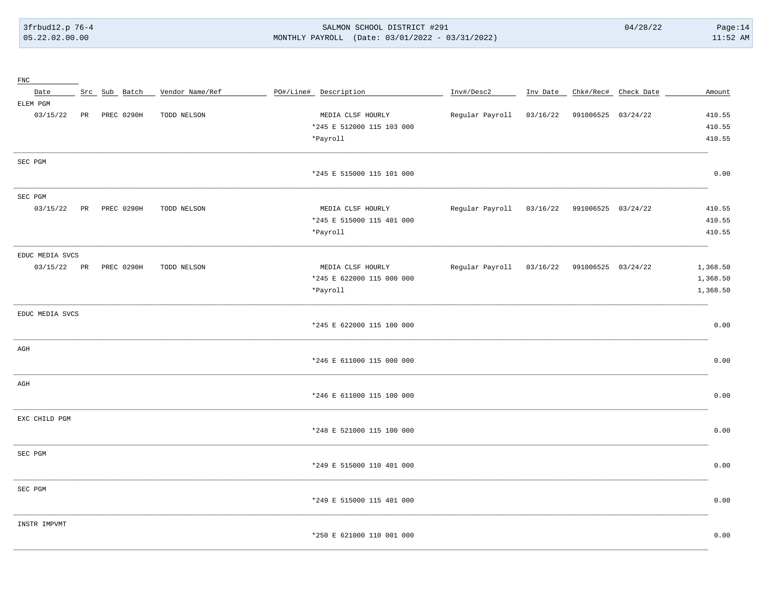#### SALMON SCHOOL DISTRICT #291 MONTHLY PAYROLL (Date: 03/01/2022 - 03/31/2022)

| FNC             |    |               |                 |                           |                          |          |                    |                               |          |
|-----------------|----|---------------|-----------------|---------------------------|--------------------------|----------|--------------------|-------------------------------|----------|
| Date            |    | Src Sub Batch | Vendor Name/Ref | PO#/Line# Description     | Inv#/Desc2               |          |                    | Inv Date Chk#/Rec# Check Date | Amount   |
| ELEM PGM        |    |               |                 |                           |                          |          |                    |                               |          |
| 03/15/22        | PR | PREC 0290H    | TODD NELSON     | MEDIA CLSF HOURLY         | Regular Payroll          | 03/16/22 | 991006525 03/24/22 |                               | 410.55   |
|                 |    |               |                 | *245 E 512000 115 103 000 |                          |          |                    |                               | 410.55   |
|                 |    |               |                 | *Payroll                  |                          |          |                    |                               | 410.55   |
| SEC PGM         |    |               |                 |                           |                          |          |                    |                               |          |
|                 |    |               |                 | *245 E 515000 115 101 000 |                          |          |                    |                               | 0.00     |
| SEC PGM         |    |               |                 |                           |                          |          |                    |                               |          |
| 03/15/22        | PR | PREC 0290H    | TODD NELSON     | MEDIA CLSF HOURLY         | Regular Payroll          | 03/16/22 | 991006525 03/24/22 |                               | 410.55   |
|                 |    |               |                 | *245 E 515000 115 401 000 |                          |          |                    |                               | 410.55   |
|                 |    |               |                 | *Payroll                  |                          |          |                    |                               | 410.55   |
| EDUC MEDIA SVCS |    |               |                 |                           |                          |          |                    |                               |          |
| 03/15/22 PR     |    | PREC 0290H    | TODD NELSON     | MEDIA CLSF HOURLY         | Regular Payroll 03/16/22 |          | 991006525 03/24/22 |                               | 1,368.50 |
|                 |    |               |                 | *245 E 622000 115 000 000 |                          |          |                    |                               | 1,368.50 |
|                 |    |               |                 | *Payroll                  |                          |          |                    |                               | 1,368.50 |
|                 |    |               |                 |                           |                          |          |                    |                               |          |
| EDUC MEDIA SVCS |    |               |                 |                           |                          |          |                    |                               |          |
|                 |    |               |                 | *245 E 622000 115 100 000 |                          |          |                    |                               | 0.00     |
| $\rm{AGH}$      |    |               |                 |                           |                          |          |                    |                               |          |
|                 |    |               |                 | *246 E 611000 115 000 000 |                          |          |                    |                               | 0.00     |
| AGH             |    |               |                 |                           |                          |          |                    |                               |          |
|                 |    |               |                 | *246 E 611000 115 100 000 |                          |          |                    |                               | 0.00     |
| EXC CHILD PGM   |    |               |                 |                           |                          |          |                    |                               |          |
|                 |    |               |                 | *248 E 521000 115 100 000 |                          |          |                    |                               | 0.00     |
| SEC PGM         |    |               |                 |                           |                          |          |                    |                               |          |
|                 |    |               |                 | *249 E 515000 110 401 000 |                          |          |                    |                               | 0.00     |
|                 |    |               |                 |                           |                          |          |                    |                               |          |
| SEC PGM         |    |               |                 | *249 E 515000 115 401 000 |                          |          |                    |                               | 0.00     |
|                 |    |               |                 |                           |                          |          |                    |                               |          |
| INSTR IMPVMT    |    |               |                 | *250 E 621000 110 001 000 |                          |          |                    |                               | 0.00     |
|                 |    |               |                 |                           |                          |          |                    |                               |          |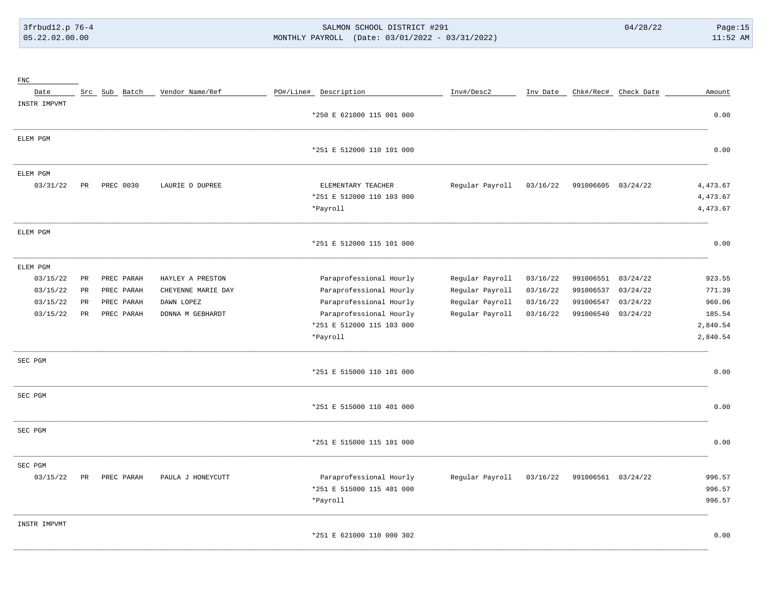# 3frbud12.p 76-4 SALMON SCHOOL DISTRICT #291 04/28/22 Page:15 05.22.02.00.00 MONTHLY PAYROLL (Date: 03/01/2022 - 03/31/2022) 11:52 AM

| $_{\rm FNC}$ |             |               |                    |                           |                 |          |                    |                      |          |
|--------------|-------------|---------------|--------------------|---------------------------|-----------------|----------|--------------------|----------------------|----------|
| Date         |             | Src Sub Batch | Vendor Name/Ref    | PO#/Line# Description     | Inv#/Desc2      | Inv Date |                    | Chk#/Rec# Check Date | Amount   |
| INSTR IMPVMT |             |               |                    |                           |                 |          |                    |                      |          |
|              |             |               |                    | *250 E 621000 115 001 000 |                 |          |                    |                      | 0.00     |
| ELEM PGM     |             |               |                    |                           |                 |          |                    |                      |          |
|              |             |               |                    | *251 E 512000 110 101 000 |                 |          |                    |                      | 0.00     |
| ELEM PGM     |             |               |                    |                           |                 |          |                    |                      |          |
| 03/31/22     | PR          | PREC 0030     | LAURIE D DUPREE    | ELEMENTARY TEACHER        | Regular Payroll | 03/16/22 | 991006605 03/24/22 |                      | 4,473.67 |
|              |             |               |                    | *251 E 512000 110 103 000 |                 |          |                    |                      | 4,473.67 |
|              |             |               |                    | *Payroll                  |                 |          |                    |                      | 4,473.67 |
| ELEM PGM     |             |               |                    |                           |                 |          |                    |                      |          |
|              |             |               |                    | *251 E 512000 115 101 000 |                 |          |                    |                      | 0.00     |
| ELEM PGM     |             |               |                    |                           |                 |          |                    |                      |          |
| 03/15/22     | PR          | PREC PARAH    | HAYLEY A PRESTON   | Paraprofessional Hourly   | Regular Payroll | 03/16/22 | 991006551          | 03/24/22             | 923.55   |
| 03/15/22     | PR          | PREC PARAH    | CHEYENNE MARIE DAY | Paraprofessional Hourly   | Regular Payroll | 03/16/22 | 991006537          | 03/24/22             | 771.39   |
| 03/15/22     | $_{\rm PR}$ | PREC PARAH    | DAWN LOPEZ         | Paraprofessional Hourly   | Regular Payroll | 03/16/22 | 991006547          | 03/24/22             | 960.06   |
| 03/15/22     | PR          | PREC PARAH    | DONNA M GEBHARDT   | Paraprofessional Hourly   | Regular Payroll | 03/16/22 | 991006540          | 03/24/22             | 185.54   |
|              |             |               |                    | *251 E 512000 115 103 000 |                 |          |                    |                      | 2,840.54 |
|              |             |               |                    | *Payroll                  |                 |          |                    |                      | 2,840.54 |
| SEC PGM      |             |               |                    |                           |                 |          |                    |                      |          |
|              |             |               |                    | *251 E 515000 110 101 000 |                 |          |                    |                      | 0.00     |
| SEC PGM      |             |               |                    |                           |                 |          |                    |                      |          |
|              |             |               |                    | *251 E 515000 110 401 000 |                 |          |                    |                      | 0.00     |
| SEC PGM      |             |               |                    |                           |                 |          |                    |                      |          |
|              |             |               |                    | *251 E 515000 115 101 000 |                 |          |                    |                      | 0.00     |
| SEC PGM      |             |               |                    |                           |                 |          |                    |                      |          |
| 03/15/22     | PR          | PREC PARAH    | PAULA J HONEYCUTT  | Paraprofessional Hourly   | Regular Payroll | 03/16/22 | 991006561          | 03/24/22             | 996.57   |
|              |             |               |                    | *251 E 515000 115 401 000 |                 |          |                    |                      | 996.57   |
|              |             |               |                    | *Payroll                  |                 |          |                    |                      | 996.57   |
| INSTR IMPVMT |             |               |                    |                           |                 |          |                    |                      |          |
|              |             |               |                    | *251 E 621000 110 000 302 |                 |          |                    |                      | 0.00     |

\_\_\_\_\_\_\_\_\_\_\_\_\_\_\_\_\_\_\_\_\_\_\_\_\_\_\_\_\_\_\_\_\_\_\_\_\_\_\_\_\_\_\_\_\_\_\_\_\_\_\_\_\_\_\_\_\_\_\_\_\_\_\_\_\_\_\_\_\_\_\_\_\_\_\_\_\_\_\_\_\_\_\_\_\_\_\_\_\_\_\_\_\_\_\_\_\_\_\_\_\_\_\_\_\_\_\_\_\_\_\_\_\_\_\_\_\_\_\_\_\_\_\_\_\_\_\_\_\_\_\_\_\_\_\_\_\_\_\_\_\_\_\_\_\_\_\_\_\_\_\_\_\_\_\_\_\_\_\_\_\_\_\_\_\_\_\_\_\_\_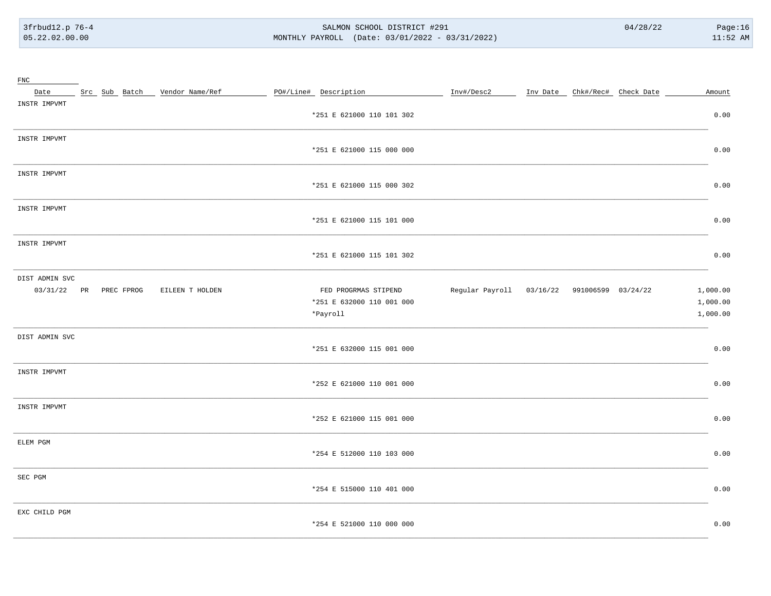#### SALMON SCHOOL DISTRICT #291 MONTHLY PAYROLL (Date: 03/01/2022 - 03/31/2022)

| $_{\rm FNC}$   |                        |                                    |                           |                                                          |  |          |
|----------------|------------------------|------------------------------------|---------------------------|----------------------------------------------------------|--|----------|
|                |                        | Date Src Sub Batch Vendor Name/Ref | PO#/Line# Description     | Inv#/Desc2 ______ Inv Date _ Chk#/Rec# Check Date ______ |  | Amount   |
| INSTR IMPVMT   |                        |                                    |                           |                                                          |  |          |
|                |                        |                                    | *251 E 621000 110 101 302 |                                                          |  | 0.00     |
|                |                        |                                    |                           |                                                          |  |          |
| INSTR IMPVMT   |                        |                                    |                           |                                                          |  |          |
|                |                        |                                    | *251 E 621000 115 000 000 |                                                          |  | 0.00     |
|                |                        |                                    |                           |                                                          |  |          |
| INSTR IMPVMT   |                        |                                    |                           |                                                          |  |          |
|                |                        |                                    | *251 E 621000 115 000 302 |                                                          |  | 0.00     |
| INSTR IMPVMT   |                        |                                    |                           |                                                          |  |          |
|                |                        |                                    | *251 E 621000 115 101 000 |                                                          |  | 0.00     |
|                |                        |                                    |                           |                                                          |  |          |
| INSTR IMPVMT   |                        |                                    |                           |                                                          |  |          |
|                |                        |                                    | *251 E 621000 115 101 302 |                                                          |  | 0.00     |
|                |                        |                                    |                           |                                                          |  |          |
| DIST ADMIN SVC |                        |                                    |                           |                                                          |  |          |
|                | 03/31/22 PR PREC FPROG | EILEEN T HOLDEN                    | FED PROGRMAS STIPEND      | Regular Payroll 03/16/22 991006599 03/24/22              |  | 1,000.00 |
|                |                        |                                    | *251 E 632000 110 001 000 |                                                          |  | 1,000.00 |
|                |                        |                                    | *Payroll                  |                                                          |  | 1,000.00 |
|                |                        |                                    |                           |                                                          |  |          |
| DIST ADMIN SVC |                        |                                    | *251 E 632000 115 001 000 |                                                          |  | 0.00     |
|                |                        |                                    |                           |                                                          |  |          |
| INSTR IMPVMT   |                        |                                    |                           |                                                          |  |          |
|                |                        |                                    | *252 E 621000 110 001 000 |                                                          |  | 0.00     |
|                |                        |                                    |                           |                                                          |  |          |
| INSTR IMPVMT   |                        |                                    |                           |                                                          |  |          |
|                |                        |                                    | *252 E 621000 115 001 000 |                                                          |  | 0.00     |
|                |                        |                                    |                           |                                                          |  |          |
| ELEM PGM       |                        |                                    |                           |                                                          |  |          |
|                |                        |                                    | *254 E 512000 110 103 000 |                                                          |  | 0.00     |
|                |                        |                                    |                           |                                                          |  |          |
| SEC PGM        |                        |                                    | *254 E 515000 110 401 000 |                                                          |  | 0.00     |
|                |                        |                                    |                           |                                                          |  |          |
| EXC CHILD PGM  |                        |                                    |                           |                                                          |  |          |
|                |                        |                                    | *254 E 521000 110 000 000 |                                                          |  | 0.00     |
|                |                        |                                    |                           |                                                          |  |          |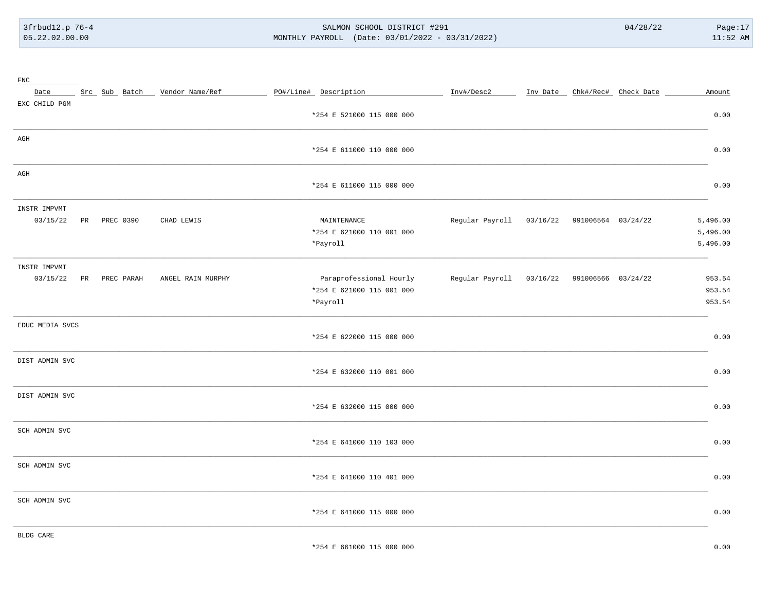#### SALMON SCHOOL DISTRICT #291 MONTHLY PAYROLL (Date: 03/01/2022 - 03/31/2022)

| ${\rm FNC}$     |                 |                               |                           |                                             |  |                               |          |
|-----------------|-----------------|-------------------------------|---------------------------|---------------------------------------------|--|-------------------------------|----------|
| Date            |                 | Src Sub Batch Vendor Name/Ref | PO#/Line# Description     | Inv#/Desc2                                  |  | Inv Date Chk#/Rec# Check Date | Amount   |
| EXC CHILD PGM   |                 |                               |                           |                                             |  |                               |          |
|                 |                 |                               | *254 E 521000 115 000 000 |                                             |  |                               | 0.00     |
| AGH             |                 |                               |                           |                                             |  |                               |          |
|                 |                 |                               | *254 E 611000 110 000 000 |                                             |  |                               | 0.00     |
| AGH             |                 |                               |                           |                                             |  |                               |          |
|                 |                 |                               | *254 E 611000 115 000 000 |                                             |  |                               | 0.00     |
| INSTR IMPVMT    |                 |                               |                           |                                             |  |                               |          |
| 03/15/22        | PREC 0390<br>PR | CHAD LEWIS                    | MAINTENANCE               | Regular Payroll 03/16/22 991006564 03/24/22 |  |                               | 5,496.00 |
|                 |                 |                               | *254 E 621000 110 001 000 |                                             |  |                               | 5,496.00 |
|                 |                 |                               | *Payroll                  |                                             |  |                               | 5,496.00 |
| INSTR IMPVMT    |                 |                               |                           |                                             |  |                               |          |
| 03/15/22        | PR PREC PARAH   | ANGEL RAIN MURPHY             | Paraprofessional Hourly   | Regular Payroll 03/16/22 991006566 03/24/22 |  |                               | 953.54   |
|                 |                 |                               | *254 E 621000 115 001 000 |                                             |  |                               | 953.54   |
|                 |                 |                               | *Payroll                  |                                             |  |                               | 953.54   |
| EDUC MEDIA SVCS |                 |                               |                           |                                             |  |                               |          |
|                 |                 |                               | *254 E 622000 115 000 000 |                                             |  |                               | 0.00     |
| DIST ADMIN SVC  |                 |                               |                           |                                             |  |                               |          |
|                 |                 |                               | *254 E 632000 110 001 000 |                                             |  |                               | 0.00     |
| DIST ADMIN SVC  |                 |                               |                           |                                             |  |                               |          |
|                 |                 |                               | *254 E 632000 115 000 000 |                                             |  |                               | 0.00     |
| SCH ADMIN SVC   |                 |                               |                           |                                             |  |                               |          |
|                 |                 |                               | *254 E 641000 110 103 000 |                                             |  |                               | 0.00     |
| SCH ADMIN SVC   |                 |                               |                           |                                             |  |                               |          |
|                 |                 |                               | *254 E 641000 110 401 000 |                                             |  |                               | 0.00     |
| SCH ADMIN SVC   |                 |                               |                           |                                             |  |                               |          |
|                 |                 |                               | *254 E 641000 115 000 000 |                                             |  |                               | 0.00     |
| BLDG CARE       |                 |                               |                           |                                             |  |                               |          |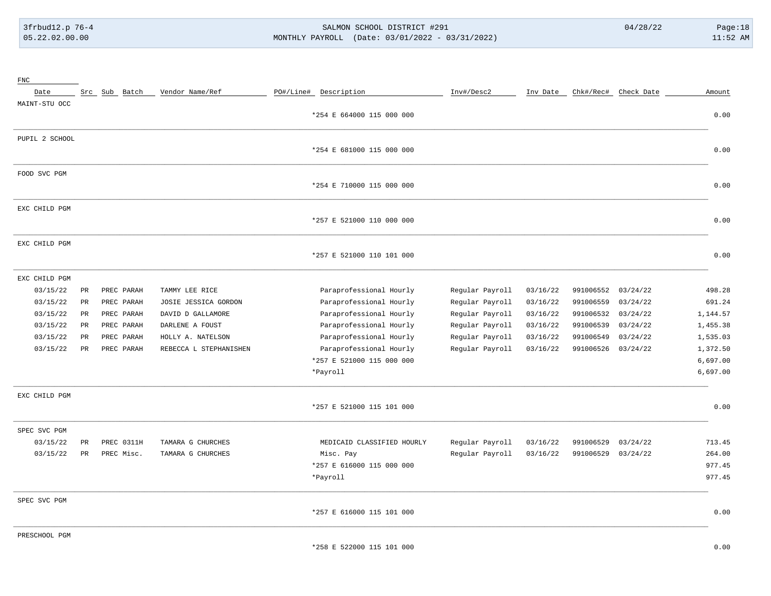### SALMON SCHOOL DISTRICT #291 MONTHLY PAYROLL (Date: 03/01/2022 - 03/31/2022)

| $_{\rm FNC}$   |                 |               |                        |                                                                   |                 |          |           |                      |               |
|----------------|-----------------|---------------|------------------------|-------------------------------------------------------------------|-----------------|----------|-----------|----------------------|---------------|
| Date           |                 | Src Sub Batch | Vendor Name/Ref        | PO#/Line# Description                                             | Inv#/Desc2      | Inv Date |           | Chk#/Rec# Check Date | Amount        |
| MAINT-STU OCC  |                 |               |                        |                                                                   |                 |          |           |                      |               |
|                |                 |               |                        | *254 E 664000 115 000 000                                         |                 |          |           |                      | 0.00          |
| PUPIL 2 SCHOOL |                 |               |                        |                                                                   |                 |          |           |                      |               |
|                |                 |               |                        | *254 E 681000 115 000 000                                         |                 |          |           |                      | 0.00          |
| FOOD SVC PGM   |                 |               |                        |                                                                   |                 |          |           |                      |               |
|                |                 |               |                        | *254 E 710000 115 000 000                                         |                 |          |           |                      | 0.00          |
| EXC CHILD PGM  |                 |               |                        |                                                                   |                 |          |           |                      |               |
|                |                 |               |                        | *257 E 521000 110 000 000                                         |                 |          |           |                      | 0.00          |
| EXC CHILD PGM  |                 |               |                        |                                                                   |                 |          |           |                      |               |
|                |                 |               |                        | *257 E 521000 110 101 000                                         |                 |          |           |                      | 0.00          |
| EXC CHILD PGM  |                 |               |                        |                                                                   |                 |          |           |                      |               |
| 03/15/22       | $\mbox{\sf PR}$ | PREC PARAH    | TAMMY LEE RICE         | Paraprofessional Hourly                                           | Regular Payroll | 03/16/22 | 991006552 | 03/24/22             | 498.28        |
| 03/15/22       | PR              | PREC PARAH    | JOSIE JESSICA GORDON   | Paraprofessional Hourly                                           | Regular Payroll | 03/16/22 | 991006559 | 03/24/22             | 691.24        |
| 03/15/22       | $_{\rm PR}$     | PREC PARAH    | DAVID D GALLAMORE      | Paraprofessional Hourly                                           | Regular Payroll | 03/16/22 | 991006532 | 03/24/22             | 1,144.57      |
| 03/15/22       | PR              | PREC PARAH    | DARLENE A FOUST        | Paraprofessional Hourly                                           | Regular Payroll | 03/16/22 | 991006539 | 03/24/22             | 1,455.38      |
| 03/15/22       | $_{\rm PR}$     | PREC PARAH    | HOLLY A. NATELSON      | Paraprofessional Hourly                                           | Regular Payroll | 03/16/22 | 991006549 | 03/24/22             | 1,535.03      |
| 03/15/22       | PR              | PREC PARAH    | REBECCA L STEPHANISHEN | Paraprofessional Hourly                                           | Regular Payroll | 03/16/22 | 991006526 | 03/24/22             | 1,372.50      |
|                |                 |               |                        | *257 E 521000 115 000 000                                         |                 |          |           |                      | 6,697.00      |
|                |                 |               |                        | *Payroll                                                          |                 |          |           |                      | 6,697.00      |
| EXC CHILD PGM  |                 |               |                        |                                                                   |                 |          |           |                      |               |
|                |                 |               |                        | *257 E 521000 115 101 000                                         |                 |          |           |                      | 0.00          |
| SPEC SVC PGM   |                 |               |                        |                                                                   |                 |          |           |                      |               |
| 03/15/22       | $_{\rm PR}$     | PREC 0311H    | TAMARA G CHURCHES      | MEDICAID CLASSIFIED HOURLY                                        | Regular Payroll | 03/16/22 | 991006529 | 03/24/22             | 713.45        |
| 03/15/22       | PR              | PREC Misc.    | TAMARA G CHURCHES      | Misc. Pay                                                         | Regular Payroll | 03/16/22 | 991006529 | 03/24/22             | 264.00        |
|                |                 |               |                        | *257 E 616000 115 000 000                                         |                 |          |           |                      | 977.45        |
|                |                 |               |                        | *Payroll                                                          |                 |          |           |                      | 977.45        |
| SPEC SVC PGM   |                 |               |                        |                                                                   |                 |          |           |                      |               |
|                |                 |               |                        | *257 E 616000 115 101 000                                         |                 |          |           |                      | 0.00          |
| PRESCHOOL PGM  |                 |               |                        |                                                                   |                 |          |           |                      |               |
|                |                 |               |                        | $FAAAAA = 115.$<br>$-2$<br><b>Service</b><br>$\sim$ $\sim$ $\sim$ |                 |          |           |                      | $\sim$ $\sim$ |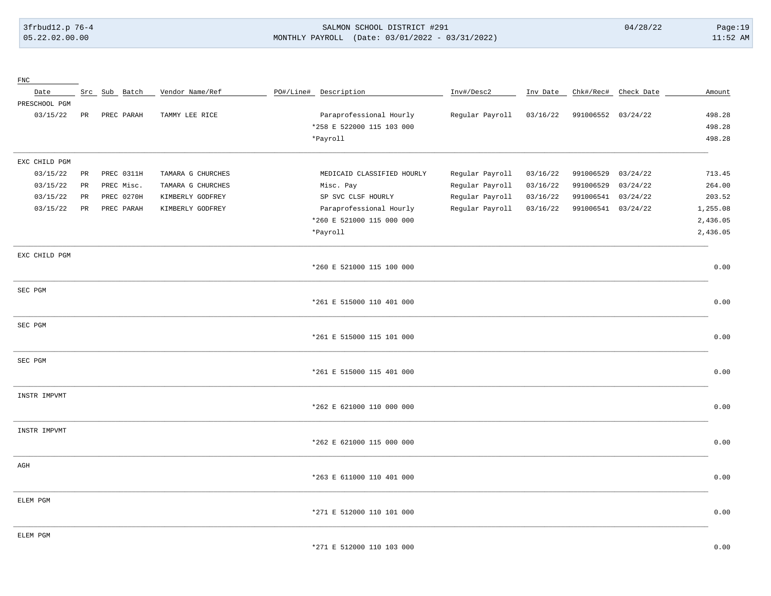### 3frbud12.p 76-4 SALMON SCHOOL DISTRICT #291 04/28/22 Page:19 05.22.02.00.00 MONTHLY PAYROLL (Date: 03/01/2022 - 03/31/2022) 11:52 AM

| ${\rm FNC}$   |                 |               |                   |                            |                 |          |                    |                      |          |
|---------------|-----------------|---------------|-------------------|----------------------------|-----------------|----------|--------------------|----------------------|----------|
| Date          |                 | Src Sub Batch | Vendor Name/Ref   | PO#/Line# Description      | Inv#/Desc2      | Inv Date |                    | Chk#/Rec# Check Date | Amount   |
| PRESCHOOL PGM |                 |               |                   |                            |                 |          |                    |                      |          |
| 03/15/22      | PR              | PREC PARAH    | TAMMY LEE RICE    | Paraprofessional Hourly    | Regular Payroll | 03/16/22 | 991006552 03/24/22 |                      | 498.28   |
|               |                 |               |                   | *258 E 522000 115 103 000  |                 |          |                    |                      | 498.28   |
|               |                 |               |                   | *Payroll                   |                 |          |                    |                      | 498.28   |
| EXC CHILD PGM |                 |               |                   |                            |                 |          |                    |                      |          |
| 03/15/22      | $\mbox{\sf PR}$ | PREC 0311H    | TAMARA G CHURCHES | MEDICAID CLASSIFIED HOURLY | Regular Payroll | 03/16/22 | 991006529          | 03/24/22             | 713.45   |
| 03/15/22      | $_{\rm PR}$     | PREC Misc.    | TAMARA G CHURCHES | Misc. Pay                  | Regular Payroll | 03/16/22 | 991006529          | 03/24/22             | 264.00   |
| 03/15/22      | PR              | PREC 0270H    | KIMBERLY GODFREY  | SP SVC CLSF HOURLY         | Regular Payroll | 03/16/22 | 991006541          | 03/24/22             | 203.52   |
| 03/15/22      | PR              | PREC PARAH    | KIMBERLY GODFREY  | Paraprofessional Hourly    | Regular Payroll | 03/16/22 | 991006541 03/24/22 |                      | 1,255.08 |
|               |                 |               |                   | *260 E 521000 115 000 000  |                 |          |                    |                      | 2,436.05 |
|               |                 |               |                   | *Payroll                   |                 |          |                    |                      | 2,436.05 |
| EXC CHILD PGM |                 |               |                   |                            |                 |          |                    |                      |          |
|               |                 |               |                   | *260 E 521000 115 100 000  |                 |          |                    |                      | 0.00     |
| SEC PGM       |                 |               |                   |                            |                 |          |                    |                      |          |
|               |                 |               |                   | *261 E 515000 110 401 000  |                 |          |                    |                      | 0.00     |
| SEC PGM       |                 |               |                   |                            |                 |          |                    |                      |          |
|               |                 |               |                   | *261 E 515000 115 101 000  |                 |          |                    |                      | 0.00     |
| SEC PGM       |                 |               |                   |                            |                 |          |                    |                      |          |
|               |                 |               |                   | *261 E 515000 115 401 000  |                 |          |                    |                      | 0.00     |
| INSTR IMPVMT  |                 |               |                   |                            |                 |          |                    |                      |          |
|               |                 |               |                   | *262 E 621000 110 000 000  |                 |          |                    |                      | 0.00     |
| INSTR IMPVMT  |                 |               |                   |                            |                 |          |                    |                      |          |
|               |                 |               |                   | *262 E 621000 115 000 000  |                 |          |                    |                      | 0.00     |
| $\rm{AGH}$    |                 |               |                   |                            |                 |          |                    |                      |          |
|               |                 |               |                   | *263 E 611000 110 401 000  |                 |          |                    |                      | 0.00     |
| ELEM PGM      |                 |               |                   |                            |                 |          |                    |                      |          |
|               |                 |               |                   | *271 E 512000 110 101 000  |                 |          |                    |                      | 0.00     |
| ELEM PGM      |                 |               |                   |                            |                 |          |                    |                      |          |
|               |                 |               |                   | *271 E 512000 110 103 000  |                 |          |                    |                      | 0.00     |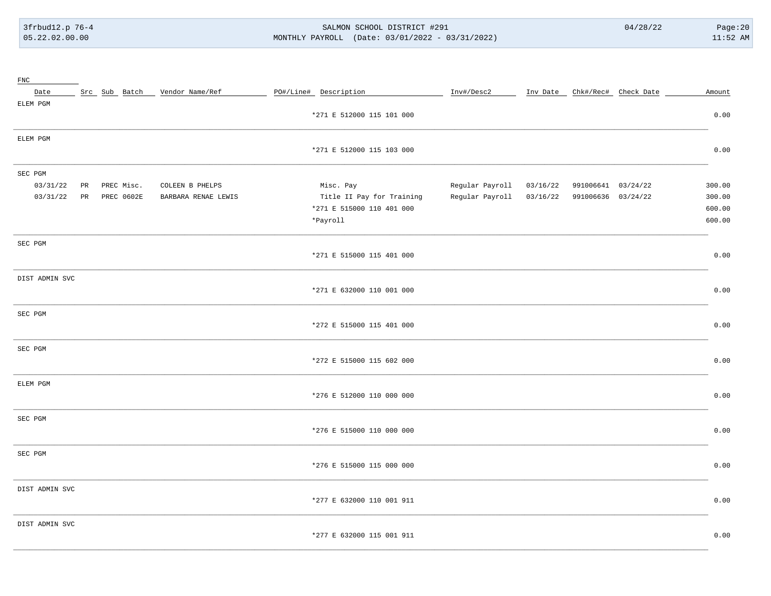#### SALMON SCHOOL DISTRICT #291 MONTHLY PAYROLL (Date: 03/01/2022 - 03/31/2022)

| ${\rm FNC}$    |    |                   |                     |                           |                 |          |                    |                               |        |
|----------------|----|-------------------|---------------------|---------------------------|-----------------|----------|--------------------|-------------------------------|--------|
| Date           |    | Src Sub Batch     | Vendor Name/Ref     | PO#/Line# Description     | Inv#/Desc2      |          |                    | Inv Date Chk#/Rec# Check Date | Amount |
| ELEM PGM       |    |                   |                     |                           |                 |          |                    |                               |        |
|                |    |                   |                     | *271 E 512000 115 101 000 |                 |          |                    |                               | 0.00   |
| ELEM PGM       |    |                   |                     |                           |                 |          |                    |                               |        |
|                |    |                   |                     | *271 E 512000 115 103 000 |                 |          |                    |                               | 0.00   |
| SEC PGM        |    |                   |                     |                           |                 |          |                    |                               |        |
| 03/31/22       | PR | PREC Misc.        | COLEEN B PHELPS     | Misc. Pay                 | Regular Payroll | 03/16/22 | 991006641 03/24/22 |                               | 300.00 |
| 03/31/22       | PR | <b>PREC 0602E</b> | BARBARA RENAE LEWIS | Title II Pay for Training | Regular Payroll | 03/16/22 | 991006636 03/24/22 |                               | 300.00 |
|                |    |                   |                     | *271 E 515000 110 401 000 |                 |          |                    |                               | 600.00 |
|                |    |                   |                     | *Payroll                  |                 |          |                    |                               | 600.00 |
|                |    |                   |                     |                           |                 |          |                    |                               |        |
| SEC PGM        |    |                   |                     | *271 E 515000 115 401 000 |                 |          |                    |                               | 0.00   |
|                |    |                   |                     |                           |                 |          |                    |                               |        |
| DIST ADMIN SVC |    |                   |                     |                           |                 |          |                    |                               |        |
|                |    |                   |                     | *271 E 632000 110 001 000 |                 |          |                    |                               | 0.00   |
| SEC PGM        |    |                   |                     |                           |                 |          |                    |                               |        |
|                |    |                   |                     | *272 E 515000 115 401 000 |                 |          |                    |                               | 0.00   |
| SEC PGM        |    |                   |                     |                           |                 |          |                    |                               |        |
|                |    |                   |                     | *272 E 515000 115 602 000 |                 |          |                    |                               | 0.00   |
|                |    |                   |                     |                           |                 |          |                    |                               |        |
| ELEM PGM       |    |                   |                     | *276 E 512000 110 000 000 |                 |          |                    |                               | 0.00   |
|                |    |                   |                     |                           |                 |          |                    |                               |        |
| SEC PGM        |    |                   |                     |                           |                 |          |                    |                               |        |
|                |    |                   |                     | *276 E 515000 110 000 000 |                 |          |                    |                               | 0.00   |
| SEC PGM        |    |                   |                     |                           |                 |          |                    |                               |        |
|                |    |                   |                     | *276 E 515000 115 000 000 |                 |          |                    |                               | 0.00   |
| DIST ADMIN SVC |    |                   |                     |                           |                 |          |                    |                               |        |
|                |    |                   |                     | *277 E 632000 110 001 911 |                 |          |                    |                               | 0.00   |
|                |    |                   |                     |                           |                 |          |                    |                               |        |
| DIST ADMIN SVC |    |                   |                     |                           |                 |          |                    |                               |        |
|                |    |                   |                     | *277 E 632000 115 001 911 |                 |          |                    |                               | 0.00   |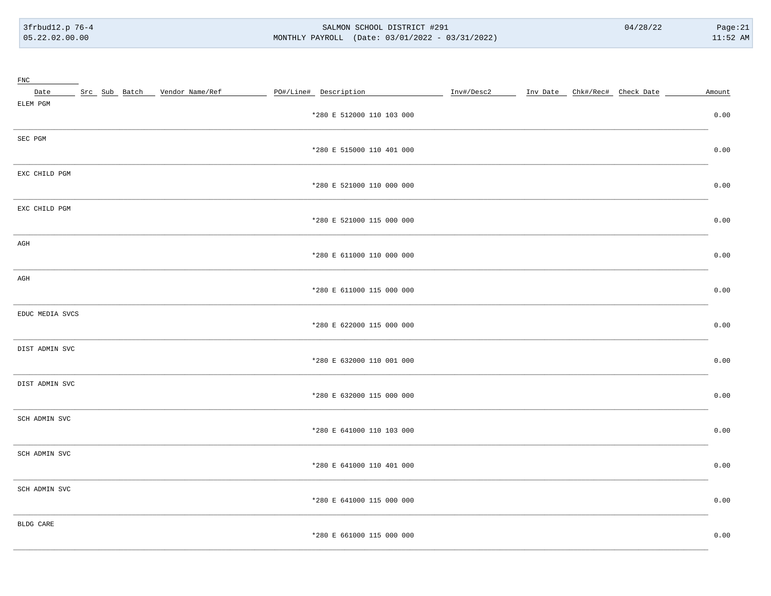#### SALMON SCHOOL DISTRICT #291 MONTHLY PAYROLL (Date: 03/01/2022 - 03/31/2022)

| $_{\rm FNC}$    |  |                                 |                           |            |                               |  |        |
|-----------------|--|---------------------------------|---------------------------|------------|-------------------------------|--|--------|
| Date            |  | Src Sub Batch _ Vendor Name/Ref | PO#/Line# Description     | Inv#/Desc2 | Inv Date Chk#/Rec# Check Date |  | Amount |
| ELEM PGM        |  |                                 |                           |            |                               |  |        |
|                 |  |                                 | *280 E 512000 110 103 000 |            |                               |  | 0.00   |
| SEC PGM         |  |                                 |                           |            |                               |  |        |
|                 |  |                                 | *280 E 515000 110 401 000 |            |                               |  | 0.00   |
|                 |  |                                 |                           |            |                               |  |        |
| EXC CHILD PGM   |  |                                 | *280 E 521000 110 000 000 |            |                               |  | 0.00   |
|                 |  |                                 |                           |            |                               |  |        |
| EXC CHILD PGM   |  |                                 |                           |            |                               |  |        |
|                 |  |                                 | *280 E 521000 115 000 000 |            |                               |  | 0.00   |
| AGH             |  |                                 |                           |            |                               |  |        |
|                 |  |                                 | *280 E 611000 110 000 000 |            |                               |  | 0.00   |
|                 |  |                                 |                           |            |                               |  |        |
| AGH             |  |                                 | *280 E 611000 115 000 000 |            |                               |  | 0.00   |
|                 |  |                                 |                           |            |                               |  |        |
| EDUC MEDIA SVCS |  |                                 |                           |            |                               |  |        |
|                 |  |                                 | *280 E 622000 115 000 000 |            |                               |  | 0.00   |
| DIST ADMIN SVC  |  |                                 |                           |            |                               |  |        |
|                 |  |                                 | *280 E 632000 110 001 000 |            |                               |  | 0.00   |
|                 |  |                                 |                           |            |                               |  |        |
| DIST ADMIN SVC  |  |                                 |                           |            |                               |  |        |
|                 |  |                                 | *280 E 632000 115 000 000 |            |                               |  | 0.00   |
| SCH ADMIN SVC   |  |                                 |                           |            |                               |  |        |
|                 |  |                                 | *280 E 641000 110 103 000 |            |                               |  | 0.00   |
|                 |  |                                 |                           |            |                               |  |        |
| SCH ADMIN SVC   |  |                                 | *280 E 641000 110 401 000 |            |                               |  | 0.00   |
|                 |  |                                 |                           |            |                               |  |        |
| SCH ADMIN SVC   |  |                                 |                           |            |                               |  |        |
|                 |  |                                 | *280 E 641000 115 000 000 |            |                               |  | 0.00   |
| BLDG CARE       |  |                                 |                           |            |                               |  |        |
|                 |  |                                 | *280 E 661000 115 000 000 |            |                               |  | 0.00   |
|                 |  |                                 |                           |            |                               |  |        |